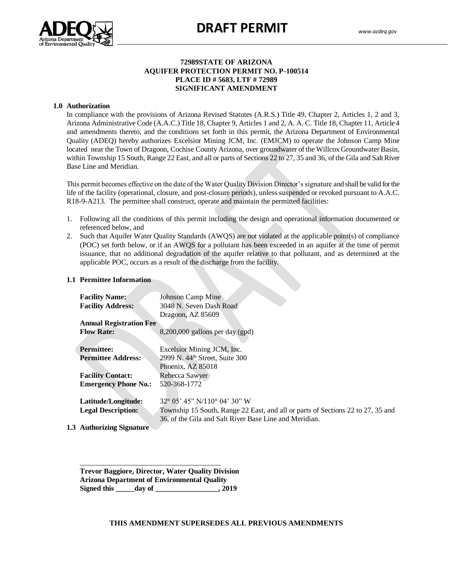

### **72989STATE OF ARIZONA AQUIFER PROTECTION PERMIT NO. P-100514 PLACE ID # 5683, LTF # 72989 SIGNIFICANT AMENDMENT**

#### **1.0 Authorization**

Authorization<br>In compliance with the provisions of Arizona Revised Statutes (A.R.S.) Title 49, Chapter 2, Articles 1, 2 and 3, Arizona Administrative Code (A.A.C.) Title 18, Chapter 9, Articles 1 and 2, A. A. C. Title 18, Chapter 11, Article 4 and amendments thereto, and the conditions set forth in this permit, the Arizona Department of Environmental Quality (ADEQ) hereby authorizes Excelsior Mining JCM, Inc. (EMJCM) to operate the Johnson Camp Mine located near the Town of Dragoon, Cochise County Arizona, over groundwater of the Willcox Groundwater Basin, within Township 15 South, Range 22 East, and all or parts of Sections 22 to 27, 35 and 36, of the Gila and Salt River Base Line and Meridian.

This permit becomes effective on the date of the Water Quality Division Director's signature and shall be valid for the life of the facility (operational, closure, and post-closure periods), unless suspended or revoked pursuant to A.A.C. R18-9-A213. The permittee shall construct, operate and maintain the permitted facilities:

- 1. Following all the conditions of this permit including the design and operational information documented or referenced below, and
- 2. Such that Aquifer Water Quality Standards (AWQS) are not violated at the applicable point(s) of compliance (POC) set forth below, or if an AWQS for a pollutant has been exceeded in an aquifer at the time of permit issuance, that no additional degradation of the aquifer relative to that pollutant, and as determined at the applicable POC, occurs as a result of the discharge from the facility.

#### **1.1 Permittee Information**

| <b>Facility Name:</b>          | <b>Johnson Camp Mine</b>                                                        |
|--------------------------------|---------------------------------------------------------------------------------|
| <b>Facility Address:</b>       | 3048 N. Seven Dash Road                                                         |
|                                | Dragoon, AZ 85609                                                               |
| <b>Annual Registration Fee</b> |                                                                                 |
| <b>Flow Rate:</b>              | $8,200,000$ gallons per day (gpd)                                               |
|                                |                                                                                 |
| <b>Permittee:</b>              | Excelsior Mining JCM, Inc.                                                      |
| <b>Permittee Address:</b>      | 2999 N. 44 <sup>th</sup> Street, Suite 300                                      |
|                                | Phoenix, AZ 85018                                                               |
| <b>Facility Contact:</b>       | Rebecca Sawyer                                                                  |
| <b>Emergency Phone No.:</b>    | 520-368-1772                                                                    |
|                                |                                                                                 |
| Latitude/Longitude:            | $32^{\circ}$ 05' 45" N/110 $^{\circ}$ 04' 30" W                                 |
| <b>Legal Description:</b>      | Township 15 South, Range 22 East, and all or parts of Sections 22 to 27, 35 and |
|                                | 36, of the Gila and Salt River Base Line and Meridian.                          |
| Authorizing Cignotung          |                                                                                 |

**1.3 Authorizing Signature**

\_\_\_\_\_\_\_\_\_\_\_\_\_\_\_\_\_\_\_\_\_\_\_\_\_\_\_\_\_\_\_\_\_\_\_\_\_\_ **Trevor Baggiore, Director, Water Quality Division Arizona Department of Environmental Quality Signed this \_\_\_\_\_day of \_\_\_\_\_\_\_\_\_\_\_\_\_\_\_\_\_, 2019**

**THIS AMENDMENT SUPERSEDES ALL PREVIOUS AMENDMENTS**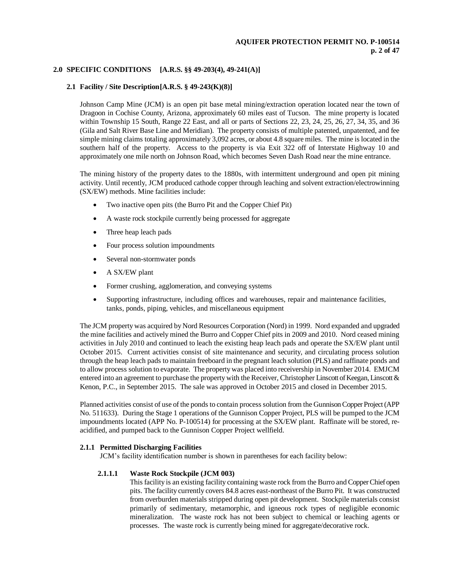### **2.0 SPECIFIC CONDITIONS [A.R.S. §§ 49-203(4), 49-241(A)]**

#### **2.1 Facility / Site Description[A.R.S. § 49-243(K)(8)]**

Johnson Camp Mine (JCM) is an open pit base metal mining/extraction operation located near the town of Dragoon in Cochise County, Arizona, approximately 60 miles east of Tucson. The mine property is located within Township 15 South, Range 22 East, and all or parts of Sections 22, 23, 24, 25, 26, 27, 34, 35, and 36 (Gila and Salt River Base Line and Meridian). The property consists of multiple patented, unpatented, and fee simple mining claims totaling approximately 3,092 acres, or about 4.8 square miles. The mine is located in the southern half of the property. Access to the property is via Exit 322 off of Interstate Highway 10 and approximately one mile north on Johnson Road, which becomes Seven Dash Road near the mine entrance.

The mining history of the property dates to the 1880s, with intermittent underground and open pit mining activity. Until recently, JCM produced cathode copper through leaching and solvent extraction/electrowinning (SX/EW) methods. Mine facilities include:

- Two inactive open pits (the Burro Pit and the Copper Chief Pit)
- A waste rock stockpile currently being processed for aggregate
- Three heap leach pads
- Four process solution impoundments
- Several non-stormwater ponds
- A SX/EW plant
- Former crushing, agglomeration, and conveying systems
- Supporting infrastructure, including offices and warehouses, repair and maintenance facilities, tanks, ponds, piping, vehicles, and miscellaneous equipment

The JCM property was acquired by Nord Resources Corporation (Nord) in 1999. Nord expanded and upgraded the mine facilities and actively mined the Burro and Copper Chief pits in 2009 and 2010. Nord ceased mining activities in July 2010 and continued to leach the existing heap leach pads and operate the SX/EW plant until October 2015. Current activities consist of site maintenance and security, and circulating process solution through the heap leach pads to maintain freeboard in the pregnant leach solution (PLS) and raffinate ponds and to allow process solution to evaporate. The property was placed into receivership in November 2014. EMJCM entered into an agreement to purchase the property with the Receiver, Christopher Linscott of Keegan, Linscott & Kenon, P.C., in September 2015. The sale was approved in October 2015 and closed in December 2015.

Planned activities consist of use of the ponds to contain process solution from the Gunnison Copper Project (APP No. 511633). During the Stage 1 operations of the Gunnison Copper Project, PLS will be pumped to the JCM impoundments located (APP No. P-100514) for processing at the SX/EW plant. Raffinate will be stored, reacidified, and pumped back to the Gunnison Copper Project wellfield.

#### **2.1.1 Permitted Discharging Facilities**

JCM's facility identification number is shown in parentheses for each facility below:

#### **2.1.1.1 Waste Rock Stockpile (JCM 003)**

This facility is an existing facility containing waste rock from the Burro and Copper Chief open pits. The facility currently covers 84.8 acres east-northeast of the Burro Pit. It was constructed from overburden materials stripped during open pit development. Stockpile materials consist primarily of sedimentary, metamorphic, and igneous rock types of negligible economic mineralization. The waste rock has not been subject to chemical or leaching agents or processes. The waste rock is currently being mined for aggregate/decorative rock.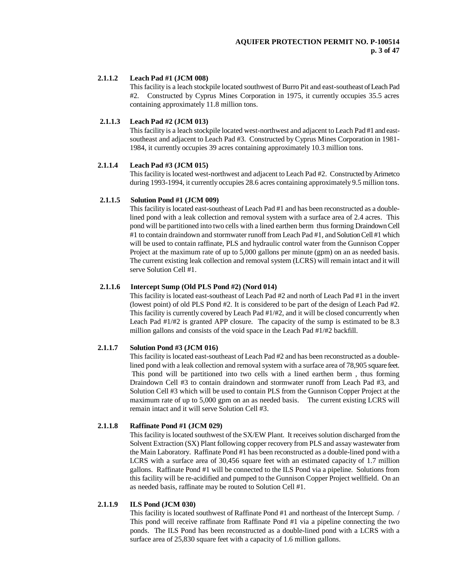# **2.1.1.2 Leach Pad #1 (JCM 008)**

This facility is a leach stockpile located southwest of Burro Pit and east-southeast of Leach Pad #2. Constructed by Cyprus Mines Corporation in 1975, it currently occupies 35.5 acres containing approximately 11.8 million tons.

#### **2.1.1.3 Leach Pad #2 (JCM 013)**

This facility is a leach stockpile located west-northwest and adjacent to Leach Pad #1 and eastsoutheast and adjacent to Leach Pad #3. Constructed by Cyprus Mines Corporation in 1981- 1984, it currently occupies 39 acres containing approximately 10.3 million tons.

### **2.1.1.4 Leach Pad #3 (JCM 015)**

This facility is located west-northwest and adjacent to Leach Pad #2. Constructed by Arimetco during 1993-1994, it currently occupies 28.6 acres containing approximately 9.5 million tons.

#### **2.1.1.5 Solution Pond #1 (JCM 009)**

This facility is located east-southeast of Leach Pad #1 and has been reconstructed as a doublelined pond with a leak collection and removal system with a surface area of 2.4 acres. This pond will be partitioned into two cells with a lined earthen berm thus forming Draindown Cell #1 to contain draindown and stormwater runoff from Leach Pad #1, and Solution Cell #1 which will be used to contain raffinate, PLS and hydraulic control water from the Gunnison Copper Project at the maximum rate of up to 5,000 gallons per minute (gpm) on an as needed basis. The current existing leak collection and removal system (LCRS) will remain intact and it will serve Solution Cell #1.

#### **2.1.1.6 Intercept Sump (Old PLS Pond #2) (Nord 014)**

This facility is located east-southeast of Leach Pad #2 and north of Leach Pad #1 in the invert (lowest point) of old PLS Pond #2. It is considered to be part of the design of Leach Pad #2. This facility is currently covered by Leach Pad #1/#2, and it will be closed concurrently when Leach Pad #1/#2 is granted APP closure. The capacity of the sump is estimated to be 8.3 million gallons and consists of the void space in the Leach Pad #1/#2 backfill.

# **2.1.1.7 Solution Pond #3 (JCM 016)**

This facility is located east-southeast of Leach Pad #2 and has been reconstructed as a doublelined pond with a leak collection and removal system with a surface area of 78,905 square feet. This pond will be partitioned into two cells with a lined earthen berm , thus forming Draindown Cell #3 to contain draindown and stormwater runoff from Leach Pad #3, and Solution Cell #3 which will be used to contain PLS from the Gunnison Copper Project at the maximum rate of up to 5,000 gpm on an as needed basis. The current existing LCRS will remain intact and it will serve Solution Cell #3.

#### **2.1.1.8 Raffinate Pond #1 (JCM 029)**

This facility is located southwest of the SX/EW Plant. It receives solution discharged from the Solvent Extraction (SX) Plant following copper recovery from PLS and assay wastewater from the Main Laboratory. Raffinate Pond #1 has been reconstructed as a double-lined pond with a LCRS with a surface area of 30,456 square feet with an estimated capacity of 1.7 million gallons. Raffinate Pond #1 will be connected to the ILS Pond via a pipeline. Solutions from this facility will be re-acidified and pumped to the Gunnison Copper Project wellfield. On an as needed basis, raffinate may be routed to Solution Cell #1.

### **2.1.1.9 ILS Pond (JCM 030)**

This facility is located southwest of Raffinate Pond #1 and northeast of the Intercept Sump. / This pond will receive raffinate from Raffinate Pond #1 via a pipeline connecting the two ponds. The ILS Pond has been reconstructed as a double-lined pond with a LCRS with a surface area of 25,830 square feet with a capacity of 1.6 million gallons.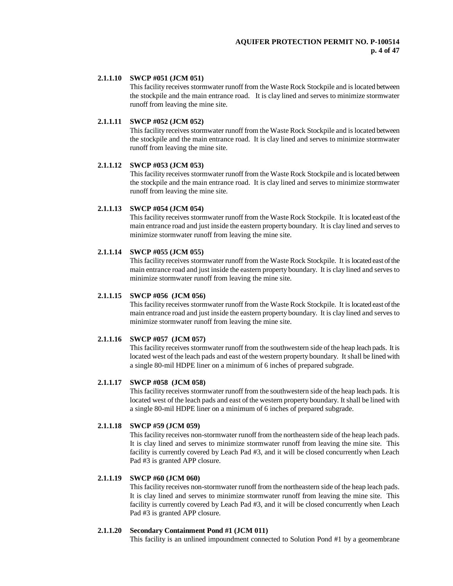#### **2.1.1.10 SWCP #051 (JCM 051)**

This facility receives stormwater runoff from the Waste Rock Stockpile and is located between the stockpile and the main entrance road. It is clay lined and serves to minimize stormwater runoff from leaving the mine site.

#### **2.1.1.11 SWCP #052 (JCM 052)**

This facility receives stormwater runoff from the Waste Rock Stockpile and is located between the stockpile and the main entrance road. It is clay lined and serves to minimize stormwater runoff from leaving the mine site.

#### **2.1.1.12 SWCP #053 (JCM 053)**

This facility receives stormwater runoff from the Waste Rock Stockpile and is located between the stockpile and the main entrance road. It is clay lined and serves to minimize stormwater runoff from leaving the mine site.

### **2.1.1.13 SWCP #054 (JCM 054)**

This facility receives stormwater runoff from the Waste Rock Stockpile. It is located east of the main entrance road and just inside the eastern property boundary. It is clay lined and serves to minimize stormwater runoff from leaving the mine site.

#### **2.1.1.14 SWCP #055 (JCM 055)**

This facility receives stormwater runoff from the Waste Rock Stockpile. It is located east of the main entrance road and just inside the eastern property boundary. It is clay lined and serves to minimize stormwater runoff from leaving the mine site.

#### **2.1.1.15 SWCP #056 (JCM 056)**

This facility receives stormwater runoff from the Waste Rock Stockpile. It is located east of the main entrance road and just inside the eastern property boundary. It is clay lined and serves to minimize stormwater runoff from leaving the mine site.

#### **2.1.1.16 SWCP #057 (JCM 057)**

This facility receives stormwater runoff from the southwestern side of the heap leach pads. It is located west of the leach pads and east of the western property boundary. It shall be lined with a single 80-mil HDPE liner on a minimum of 6 inches of prepared subgrade.

### **2.1.1.17 SWCP #058 (JCM 058)**

This facility receives stormwater runoff from the southwestern side of the heap leach pads. It is located west of the leach pads and east of the western property boundary. It shall be lined with a single 80-mil HDPE liner on a minimum of 6 inches of prepared subgrade.

# **2.1.1.18 SWCP #59 (JCM 059)**

This facility receives non-stormwater runoff from the northeastern side of the heap leach pads. It is clay lined and serves to minimize stormwater runoff from leaving the mine site. This facility is currently covered by Leach Pad #3, and it will be closed concurrently when Leach Pad #3 is granted APP closure.

#### **2.1.1.19 SWCP #60 (JCM 060)**

This facility receives non-stormwater runoff from the northeastern side of the heap leach pads. It is clay lined and serves to minimize stormwater runoff from leaving the mine site. This facility is currently covered by Leach Pad #3, and it will be closed concurrently when Leach Pad #3 is granted APP closure.

#### **2.1.1.20 Secondary Containment Pond #1 (JCM 011)**

This facility is an unlined impoundment connected to Solution Pond #1 by a geomembrane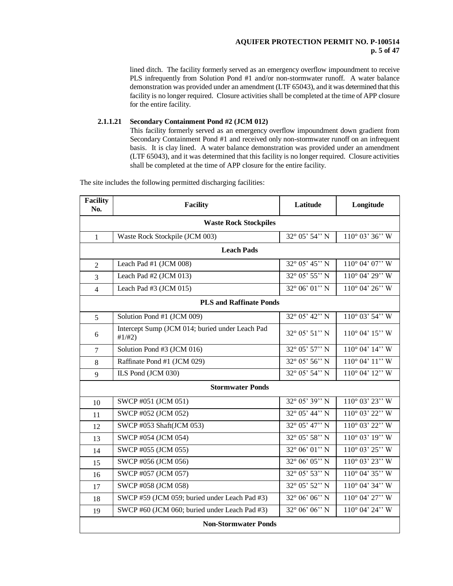# **AQUIFER PROTECTION PERMIT NO. P-100514 p. 5 of 47**

lined ditch. The facility formerly served as an emergency overflow impoundment to receive PLS infrequently from Solution Pond #1 and/or non-stormwater runoff. A water balance demonstration was provided under an amendment (LTF 65043), and it was determined that this facility is no longer required. Closure activities shall be completed at the time of APP closure for the entire facility.

#### **2.1.1.21 Secondary Containment Pond #2 (JCM 012)**

This facility formerly served as an emergency overflow impoundment down gradient from Secondary Containment Pond #1 and received only non-stormwater runoff on an infrequent basis. It is clay lined. A water balance demonstration was provided under an amendment (LTF 65043), and it was determined that this facility is no longer required. Closure activities shall be completed at the time of APP closure for the entire facility.

The site includes the following permitted discharging facilities:

| <b>Facility</b><br>No.      | <b>Facility</b>                                           | Latitude                | Longitude                  |  |  |
|-----------------------------|-----------------------------------------------------------|-------------------------|----------------------------|--|--|
|                             | <b>Waste Rock Stockpiles</b>                              |                         |                            |  |  |
| $\mathbf{1}$                | Waste Rock Stockpile (JCM 003)                            | $32^{\circ}$ 05' 54" N  | $110^{\circ}$ 03' 36" W    |  |  |
|                             | <b>Leach Pads</b>                                         |                         |                            |  |  |
| $\mathfrak{2}$              | Leach Pad #1 (JCM 008)                                    | $32^{\circ}$ 05' 45" N  | $110^{\circ}$ 04' 07" W    |  |  |
| 3                           | Leach Pad #2 (JCM 013)                                    | $32^{\circ}$ 05' 55" N  | $110^{\circ}$ 04' 29" W    |  |  |
| $\overline{4}$              | Leach Pad #3 (JCM 015)                                    | $32^{\circ} 06' 01'' N$ | $110^{\circ}$ 04' 26" W    |  |  |
|                             | <b>PLS and Raffinate Ponds</b>                            |                         |                            |  |  |
| 5                           | Solution Pond #1 (JCM 009)                                | $32^{\circ}$ 05' 42" N  | $110^{\circ}$ 03' 54" W    |  |  |
| 6                           | Intercept Sump (JCM 014; buried under Leach Pad<br>#1/H2) | $32^{\circ}$ 05' 51" N  | $110^{\circ}$ 04' $15$ " W |  |  |
| $\overline{7}$              | Solution Pond #3 (JCM 016)                                | 32° 05' 57" N           | $110^{\circ}$ 04' $14$ " W |  |  |
| 8                           | Raffinate Pond #1 (JCM 029)                               | $32^{\circ}$ 05' 56" N  | $110^{\circ}$ 04' $11$ " W |  |  |
| 9                           | ILS Pond (JCM 030)                                        | 32° 05' 54" N           | 110° 04' 12" W             |  |  |
|                             | <b>Stormwater Ponds</b>                                   |                         |                            |  |  |
| 10                          | SWCP #051 (JCM 051)                                       | $32^{\circ}$ 05' 39" N  | $110^{\circ}$ 03' 23" W    |  |  |
| 11                          | SWCP #052 (JCM 052)                                       | $32^{\circ}$ 05' 44'' N | $110^{\circ}$ 03' 22" W    |  |  |
| 12                          | SWCP #053 Shaft(JCM 053)                                  | $32^{\circ}$ 05' 47" N  | 110° 03' 22" W             |  |  |
| 13                          | SWCP #054 (JCM 054)                                       | $32^{\circ}$ 05' 58" N  | 110° 03' 19" W             |  |  |
| 14                          | SWCP #055 (JCM 055)                                       | $32^{\circ} 06' 01'' N$ | $110^{\circ}$ 03' 25" W    |  |  |
| 15                          | SWCP #056 (JCM 056)                                       | $32^{\circ} 06' 05'' N$ | $110^{\circ}$ 03' 23" W    |  |  |
| 16                          | SWCP #057 (JCM 057)                                       | 32° 05' 53" N           | $110^{\circ}$ 04' 35" W    |  |  |
| 17                          | SWCP #058 (JCM 058)                                       | 32° 05' 52" N           | 110° 04' 34" W             |  |  |
| 18                          | SWCP #59 (JCM 059; buried under Leach Pad #3)             | $32^{\circ}$ 06' 06" N  | $110^{\circ}$ 04' $27$ " W |  |  |
| 19                          | SWCP #60 (JCM 060; buried under Leach Pad #3)             | $32^{\circ}$ 06' 06" N  | 110° 04' 24" W             |  |  |
| <b>Non-Stormwater Ponds</b> |                                                           |                         |                            |  |  |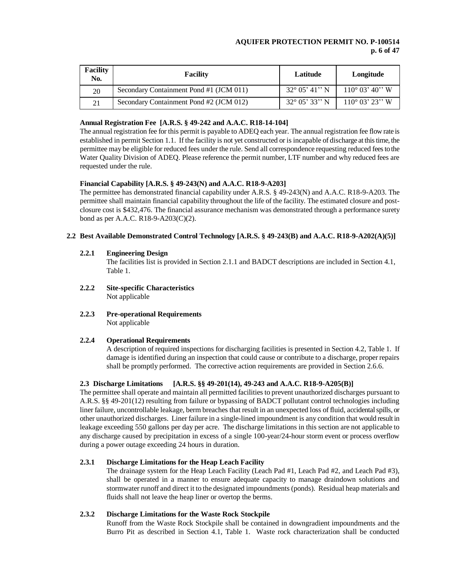### **AQUIFER PROTECTION PERMIT NO. P-100514 p. 6 of 47**

| <b>Facility</b><br>No. | <b>Facility</b>                         | Latitude | Longitude                                                     |
|------------------------|-----------------------------------------|----------|---------------------------------------------------------------|
| 20                     | Secondary Containment Pond #1 (JCM 011) |          | $32^{\circ}$ 05' 41'' N $\parallel$ 110 $^{\circ}$ 03' 40'' W |
| 21                     | Secondary Containment Pond #2 (JCM 012) |          | $32^{\circ}$ 05' 33'' N $\pm$ 110 $^{\circ}$ 03' 23'' W       |

# **Annual Registration Fee [A.R.S. § 49-242 and A.A.C. R18-14-104]**

The annual registration fee for this permit is payable to ADEQ each year. The annual registration fee flow rate is established in permit Section 1.1. If the facility is not yet constructed or is incapable of discharge at this time, the permittee may be eligible for reduced fees under the rule. Send all correspondence requesting reduced fees to the Water Quality Division of ADEQ. Please reference the permit number, LTF number and why reduced fees are requested under the rule.

# **Financial Capability [A.R.S. § 49-243(N) and A.A.C. R18-9-A203]**

The permittee has demonstrated financial capability under A.R.S. § 49-243(N) and A.A.C. R18-9-A203. The permittee shall maintain financial capability throughout the life of the facility. The estimated closure and postclosure cost is \$432,476. The financial assurance mechanism was demonstrated through a performance surety bond as per A.A.C. R18-9-A203(C)(2).

# **2.2 Best Available Demonstrated Control Technology [A.R.S. § 49-243(B) and A.A.C. R18-9-A202(A)(5)]**

# **2.2.1 Engineering Design**

The facilities list is provided in Section 2.1.1 and BADCT descriptions are included in Section 4.1, Table 1.

- **2.2.2 Site-specific Characteristics** Not applicable
- **2.2.3 Pre-operational Requirements** Not applicable

# **2.2.4 Operational Requirements**

A description of required inspections for discharging facilities is presented in Section 4.2, Table 1. If damage is identified during an inspection that could cause or contribute to a discharge, proper repairs shall be promptly performed. The corrective action requirements are provided in Section 2.6.6.

# **2.3 Discharge Limitations [A.R.S. §§ 49-201(14), 49-243 and A.A.C. R18-9-A205(B)]**

The permittee shall operate and maintain all permitted facilities to prevent unauthorized discharges pursuant to A.R.S. §§ 49-201(12) resulting from failure or bypassing of BADCT pollutant control technologies including liner failure, uncontrollable leakage, berm breaches that result in an unexpected loss of fluid, accidental spills, or other unauthorized discharges. Liner failure in a single-lined impoundment is any condition that would result in leakage exceeding 550 gallons per day per acre. The discharge limitations in this section are not applicable to any discharge caused by precipitation in excess of a single 100-year/24-hour storm event or process overflow during a power outage exceeding 24 hours in duration.

# **2.3.1 Discharge Limitations for the Heap Leach Facility**

The drainage system for the Heap Leach Facility (Leach Pad #1, Leach Pad #2, and Leach Pad #3), shall be operated in a manner to ensure adequate capacity to manage draindown solutions and stormwater runoff and direct it to the designated impoundments (ponds). Residual heap materials and fluids shall not leave the heap liner or overtop the berms.

# **2.3.2 Discharge Limitations for the Waste Rock Stockpile**

Runoff from the Waste Rock Stockpile shall be contained in downgradient impoundments and the Burro Pit as described in Section 4.1, Table 1. Waste rock characterization shall be conducted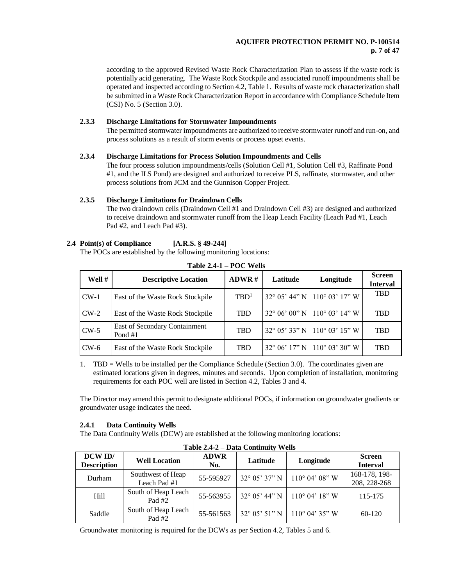# **AQUIFER PROTECTION PERMIT NO. P-100514 p. 7 of 47**

according to the approved Revised Waste Rock Characterization Plan to assess if the waste rock is potentially acid generating. The Waste Rock Stockpile and associated runoff impoundments shall be operated and inspected according to Section 4.2, Table 1. Results of waste rock characterization shall be submitted in a Waste Rock Characterization Report in accordance with Compliance Schedule Item (CSI) No. 5 (Section 3.0).

# **2.3.3 Discharge Limitations for Stormwater Impoundments**

The permitted stormwater impoundments are authorized to receive stormwater runoff and run-on, and process solutions as a result of storm events or process upset events.

# **2.3.4 Discharge Limitations for Process Solution Impoundments and Cells**

The four process solution impoundments/cells (Solution Cell #1, Solution Cell #3, Raffinate Pond #1, and the ILS Pond) are designed and authorized to receive PLS, raffinate, stormwater, and other process solutions from JCM and the Gunnison Copper Project.

# **2.3.5 Discharge Limitations for Draindown Cells**

The two draindown cells (Draindown Cell #1 and Draindown Cell #3) are designed and authorized to receive draindown and stormwater runoff from the Heap Leach Facility (Leach Pad #1, Leach Pad #2, and Leach Pad #3).

# **2.4 Point(s) of Compliance [A.R.S. § 49-244]**

The POCs are established by the following monitoring locations:

| Well # | <b>Descriptive Location</b>              | ADWR#            | Latitude | Longitude                                         | <b>Screen</b><br><b>Interval</b> |
|--------|------------------------------------------|------------------|----------|---------------------------------------------------|----------------------------------|
| $CW-1$ | East of the Waste Rock Stockpile         | TBD <sup>1</sup> |          | $32^{\circ}$ 05' 44" N   110 $^{\circ}$ 03' 17" W | TBD                              |
| $CW-2$ | East of the Waste Rock Stockpile         | <b>TBD</b>       |          | $32^{\circ}$ 06' 00" N   110 $^{\circ}$ 03' 14" W | <b>TBD</b>                       |
| $CW-5$ | East of Secondary Containment<br>Pond #1 | <b>TBD</b>       |          | $32^{\circ}$ 05' 33" N   110 $^{\circ}$ 03' 15" W | <b>TBD</b>                       |
| $CW-6$ | East of the Waste Rock Stockpile         | <b>TBD</b>       |          | $32^{\circ}$ 06' 17" N 110° 03' 30" W             | TBD                              |

**Table 2.4-1 – POC Wells**

1. TBD = Wells to be installed per the Compliance Schedule (Section 3.0). The coordinates given are estimated locations given in degrees, minutes and seconds. Upon completion of installation, monitoring requirements for each POC well are listed in Section 4.2, Tables 3 and 4.

The Director may amend this permit to designate additional POCs, if information on groundwater gradients or groundwater usage indicates the need.

# **2.4.1 Data Continuity Wells**

The Data Continuity Wells (DCW) are established at the following monitoring locations:

| $1$ apro $2,7-2$ – Data Continuity viction |                                   |                    |                        |                         |                                  |
|--------------------------------------------|-----------------------------------|--------------------|------------------------|-------------------------|----------------------------------|
| DCW ID/<br><b>Description</b>              | <b>Well Location</b>              | <b>ADWR</b><br>No. | Latitude               | Longitude               | <b>Screen</b><br><b>Interval</b> |
| Durham                                     | Southwest of Heap<br>Leach Pad #1 | 55-595927          | $32^{\circ}$ 05' 37" N | $110^{\circ}$ 04' 08" W | 168-178, 198-<br>208, 228-268    |
| Hill                                       | South of Heap Leach<br>Pad $#2$   | 55-563955          | $32^{\circ}$ 05' 44" N | $110^{\circ}$ 04' 18" W | 115-175                          |
| Saddle                                     | South of Heap Leach<br>Pad #2     | 55-561563          | $32^{\circ}$ 05' 51" N | $110^{\circ}$ 04' 35" W | 60-120                           |

**Table 2.4-2 – Data Continuity Wells**

Groundwater monitoring is required for the DCWs as per Section 4.2, Tables 5 and 6.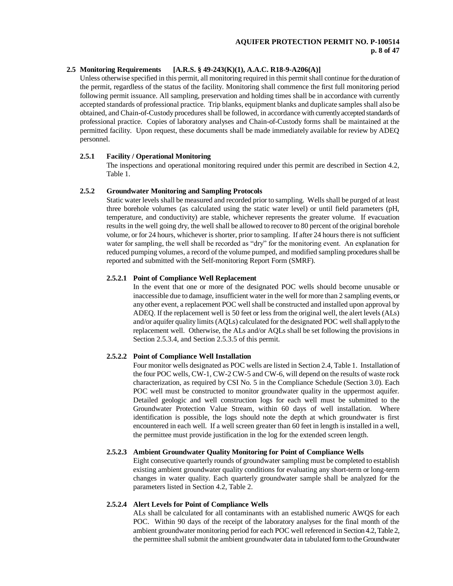# **2.5 Monitoring Requirements [A.R.S. § 49-243(K)(1), A.A.C. R18-9-A206(A)]**

Unless otherwise specified in this permit, all monitoring required in this permit shall continue for the duration of the permit, regardless of the status of the facility. Monitoring shall commence the first full monitoring period following permit issuance. All sampling, preservation and holding times shall be in accordance with currently accepted standards of professional practice. Trip blanks, equipment blanks and duplicate samples shall also be obtained, and Chain-of-Custody procedures shall be followed, in accordance with currently accepted standards of professional practice. Copies of laboratory analyses and Chain-of-Custody forms shall be maintained at the permitted facility. Upon request, these documents shall be made immediately available for review by ADEQ personnel.

#### **2.5.1 Facility / Operational Monitoring**

The inspections and operational monitoring required under this permit are described in Section 4.2, Table 1.

#### **2.5.2 Groundwater Monitoring and Sampling Protocols**

Static water levels shall be measured and recorded prior to sampling. Wells shall be purged of at least three borehole volumes (as calculated using the static water level) or until field parameters (pH, temperature, and conductivity) are stable, whichever represents the greater volume. If evacuation results in the well going dry, the well shall be allowed to recover to 80 percent of the original borehole volume, or for 24 hours, whichever is shorter, prior to sampling. If after 24 hours there is not sufficient water for sampling, the well shall be recorded as "dry" for the monitoring event. An explanation for reduced pumping volumes, a record of the volume pumped, and modified sampling procedures shall be reported and submitted with the Self-monitoring Report Form (SMRF).

#### **2.5.2.1 Point of Compliance Well Replacement**

In the event that one or more of the designated POC wells should become unusable or inaccessible due to damage, insufficient water in the well for more than 2 sampling events, or any other event, a replacement POC well shall be constructed and installed upon approval by ADEQ. If the replacement well is 50 feet or less from the original well, the alert levels (ALs) and/or aquifer quality limits (AQLs) calculated for the designated POC well shall apply to the replacement well. Otherwise, the ALs and/or AQLs shall be set following the provisions in Section 2.5.3.4, and Section 2.5.3.5 of this permit.

#### **2.5.2.2 Point of Compliance Well Installation**

Four monitor wells designated as POC wells are listed in Section 2.4, Table 1. Installation of the four POC wells, CW-1, CW-2 CW-5 and CW-6, will depend on the results of waste rock characterization, as required by CSI No. 5 in the Compliance Schedule (Section 3.0). Each POC well must be constructed to monitor groundwater quality in the uppermost aquifer. Detailed geologic and well construction logs for each well must be submitted to the Groundwater Protection Value Stream, within 60 days of well installation. Where identification is possible, the logs should note the depth at which groundwater is first encountered in each well. If a well screen greater than 60 feet in length is installed in a well, the permittee must provide justification in the log for the extended screen length.

# **2.5.2.3 Ambient Groundwater Quality Monitoring for Point of Compliance Wells**

Eight consecutive quarterly rounds of groundwater sampling must be completed to establish existing ambient groundwater quality conditions for evaluating any short-term or long-term changes in water quality. Each quarterly groundwater sample shall be analyzed for the parameters listed in Section 4.2, Table 2.

# **2.5.2.4 Alert Levels for Point of Compliance Wells**

ALs shall be calculated for all contaminants with an established numeric AWQS for each POC. Within 90 days of the receipt of the laboratory analyses for the final month of the ambient groundwater monitoring period for each POC well referenced in Section 4.2, Table 2, the permittee shall submit the ambient groundwater data in tabulated form to the Groundwater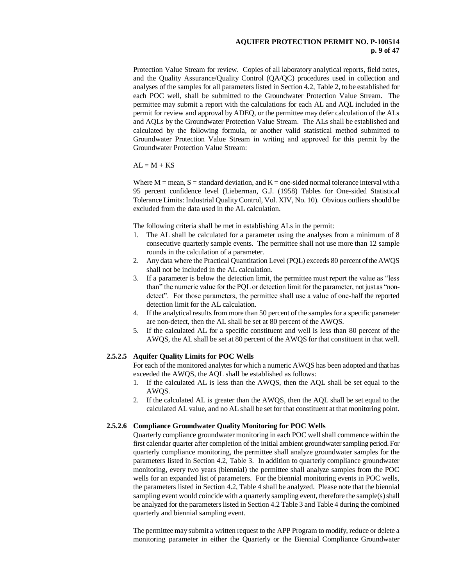#### **AQUIFER PROTECTION PERMIT NO. P-100514 p. 9 of 47**

Protection Value Stream for review. Copies of all laboratory analytical reports, field notes, and the Quality Assurance/Quality Control (QA/QC) procedures used in collection and analyses of the samples for all parameters listed in Section 4.2, Table 2, to be established for each POC well, shall be submitted to the Groundwater Protection Value Stream. The permittee may submit a report with the calculations for each AL and AQL included in the permit for review and approval by ADEQ, or the permittee may defer calculation of the ALs and AQLs by the Groundwater Protection Value Stream. The ALs shall be established and calculated by the following formula, or another valid statistical method submitted to Groundwater Protection Value Stream in writing and approved for this permit by the Groundwater Protection Value Stream:

 $AI = M + KS$ 

Where  $M =$  mean,  $S =$  standard deviation, and  $K =$  one-sided normal tolerance interval with a 95 percent confidence level (Lieberman, G.J. (1958) Tables for One-sided Statistical Tolerance Limits: Industrial Quality Control, Vol. XIV, No. 10). Obvious outliers should be excluded from the data used in the AL calculation.

The following criteria shall be met in establishing ALs in the permit:

- 1. The AL shall be calculated for a parameter using the analyses from a minimum of 8 consecutive quarterly sample events. The permittee shall not use more than 12 sample rounds in the calculation of a parameter.
- 2. Any data where the Practical Quantitation Level (PQL) exceeds 80 percent of the AWQS shall not be included in the AL calculation.
- 3. If a parameter is below the detection limit, the permittee must report the value as "less than" the numeric value for the PQL or detection limit for the parameter, not just as "nondetect". For those parameters, the permittee shall use a value of one-half the reported detection limit for the AL calculation.
- 4. If the analytical results from more than 50 percent of the samples for a specific parameter are non-detect, then the AL shall be set at 80 percent of the AWQS.
- 5. If the calculated AL for a specific constituent and well is less than 80 percent of the AWQS, the AL shall be set at 80 percent of the AWQS for that constituent in that well.

#### **2.5.2.5 Aquifer Quality Limits for POC Wells**

For each of the monitored analytes for which a numeric AWQS has been adopted and that has exceeded the AWQS, the AQL shall be established as follows:

- 1. If the calculated AL is less than the AWQS, then the AQL shall be set equal to the AWQS.
- 2. If the calculated AL is greater than the AWQS, then the AQL shall be set equal to the calculated AL value, and no AL shall be set for that constituent at that monitoring point.

#### **2.5.2.6 Compliance Groundwater Quality Monitoring for POC Wells**

Quarterly compliance groundwater monitoring in each POC well shall commence within the first calendar quarter after completion of the initial ambient groundwater sampling period. For quarterly compliance monitoring, the permittee shall analyze groundwater samples for the parameters listed in Section 4.2, Table 3. In addition to quarterly compliance groundwater monitoring, every two years (biennial) the permittee shall analyze samples from the POC wells for an expanded list of parameters. For the biennial monitoring events in POC wells, the parameters listed in Section 4.2, Table 4 shall be analyzed. Please note that the biennial sampling event would coincide with a quarterly sampling event, therefore the sample(s) shall be analyzed for the parameters listed in Section 4.2 Table 3 and Table 4 during the combined quarterly and biennial sampling event.

The permittee may submit a written request to the APP Program to modify, reduce or delete a monitoring parameter in either the Quarterly or the Biennial Compliance Groundwater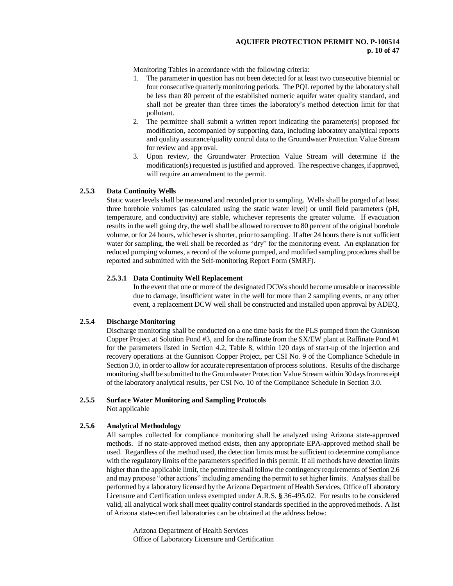### **AQUIFER PROTECTION PERMIT NO. P-100514 p. 10 of 47**

Monitoring Tables in accordance with the following criteria:

- 1. The parameter in question has not been detected for at least two consecutive biennial or four consecutive quarterly monitoring periods. The PQL reported by the laboratory shall be less than 80 percent of the established numeric aquifer water quality standard, and shall not be greater than three times the laboratory's method detection limit for that pollutant.
- 2. The permittee shall submit a written report indicating the parameter(s) proposed for modification, accompanied by supporting data, including laboratory analytical reports and quality assurance/quality control data to the Groundwater Protection Value Stream for review and approval.
- 3. Upon review, the Groundwater Protection Value Stream will determine if the modification(s) requested is justified and approved. The respective changes, if approved, will require an amendment to the permit.

#### **2.5.3 Data Continuity Wells**

Static water levels shall be measured and recorded prior to sampling. Wells shall be purged of at least three borehole volumes (as calculated using the static water level) or until field parameters (pH, temperature, and conductivity) are stable, whichever represents the greater volume. If evacuation results in the well going dry, the well shall be allowed to recover to 80 percent of the original borehole volume, or for 24 hours, whichever is shorter, prior to sampling. If after 24 hours there is not sufficient water for sampling, the well shall be recorded as "dry" for the monitoring event. An explanation for reduced pumping volumes, a record of the volume pumped, and modified sampling procedures shall be reported and submitted with the Self-monitoring Report Form (SMRF).

#### **2.5.3.1 Data Continuity Well Replacement**

In the event that one or more of the designated DCWs should become unusable or inaccessible due to damage, insufficient water in the well for more than 2 sampling events, or any other event, a replacement DCW well shall be constructed and installed upon approval by ADEQ.

# **2.5.4 Discharge Monitoring**

Discharge monitoring shall be conducted on a one time basis for the PLS pumped from the Gunnison Copper Project at Solution Pond #3, and for the raffinate from the SX/EW plant at Raffinate Pond #1 for the parameters listed in Section 4.2, Table 8, within 120 days of start-up of the injection and recovery operations at the Gunnison Copper Project, per CSI No. 9 of the Compliance Schedule in Section 3.0, in order to allow for accurate representation of process solutions. Results of the discharge monitoring shall be submitted to the Groundwater Protection Value Stream within 30 days from receipt of the laboratory analytical results, per CSI No. 10 of the Compliance Schedule in Section 3.0.

#### **2.5.5 Surface Water Monitoring and Sampling Protocols**

Not applicable

# **2.5.6 Analytical Methodology**

All samples collected for compliance monitoring shall be analyzed using Arizona state-approved methods. If no state-approved method exists, then any appropriate EPA-approved method shall be used. Regardless of the method used, the detection limits must be sufficient to determine compliance with the regulatory limits of the parameters specified in this permit. If all methods have detection limits higher than the applicable limit, the permittee shall follow the contingency requirements of Section 2.6 and may propose "other actions" including amending the permit to set higher limits. Analyses shall be performed by a laboratory licensed by the Arizona Department of Health Services, Office of Laboratory Licensure and Certification unless exempted under A.R.S. **§** 36-495.02. For results to be considered valid, all analytical work shall meet quality control standards specified in the approved methods. A list of Arizona state-certified laboratories can be obtained at the address below:

Arizona Department of Health Services Office of Laboratory Licensure and Certification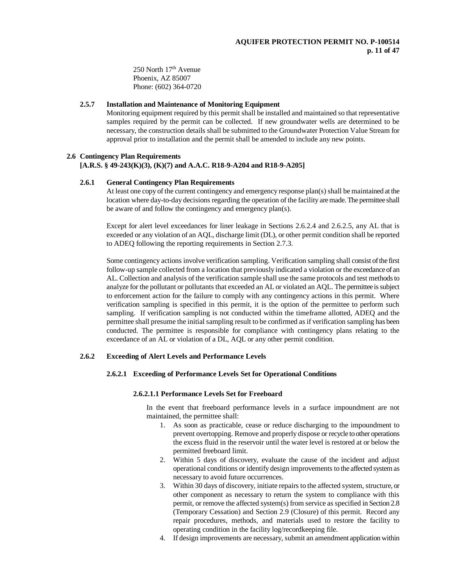250 North 17th Avenue Phoenix, AZ 85007 Phone: (602) 364-0720

#### **2.5.7 Installation and Maintenance of Monitoring Equipment**

Monitoring equipment required by this permit shall be installed and maintained so that representative samples required by the permit can be collected. If new groundwater wells are determined to be necessary, the construction details shall be submitted to the Groundwater Protection Value Stream for approval prior to installation and the permit shall be amended to include any new points.

#### **2.6 Contingency Plan Requirements**

### **[A.R.S. § 49-243(K)(3), (K)(7) and A.A.C. R18-9-A204 and R18-9-A205]**

#### **2.6.1 General Contingency Plan Requirements**

At least one copy of the current contingency and emergency response plan(s) shall be maintained at the location where day-to-day decisions regarding the operation of the facility are made. The permittee shall be aware of and follow the contingency and emergency plan(s).

Except for alert level exceedances for liner leakage in Sections 2.6.2.4 and 2.6.2.5, any AL that is exceeded or any violation of an AQL, discharge limit (DL), or other permit condition shall be reported to ADEQ following the reporting requirements in Section 2.7.3.

Some contingency actions involve verification sampling. Verification sampling shall consist of the first follow-up sample collected from a location that previously indicated a violation or the exceedance of an AL. Collection and analysis of the verification sample shall use the same protocols and test methods to analyze for the pollutant or pollutants that exceeded an AL or violated an AQL. The permittee is subject to enforcement action for the failure to comply with any contingency actions in this permit. Where verification sampling is specified in this permit, it is the option of the permittee to perform such sampling. If verification sampling is not conducted within the timeframe allotted, ADEQ and the permittee shall presume the initial sampling result to be confirmed as if verification sampling has been conducted. The permittee is responsible for compliance with contingency plans relating to the exceedance of an AL or violation of a DL, AQL or any other permit condition.

### **2.6.2 Exceeding of Alert Levels and Performance Levels**

### **2.6.2.1 Exceeding of Performance Levels Set for Operational Conditions**

#### **2.6.2.1.1 Performance Levels Set for Freeboard**

In the event that freeboard performance levels in a surface impoundment are not maintained, the permittee shall:

- 1. As soon as practicable, cease or reduce discharging to the impoundment to prevent overtopping. Remove and properly dispose or recycle to other operations the excess fluid in the reservoir until the water level is restored at or below the permitted freeboard limit.
- 2. Within 5 days of discovery, evaluate the cause of the incident and adjust operational conditions or identify design improvements to the affected system as necessary to avoid future occurrences.
- 3. Within 30 days of discovery, initiate repairs to the affected system, structure, or other component as necessary to return the system to compliance with this permit, or remove the affected system(s) from service as specified in Section 2.8 (Temporary Cessation) and Section 2.9 (Closure) of this permit. Record any repair procedures, methods, and materials used to restore the facility to operating condition in the facility log/recordkeeping file.
- 4. If design improvements are necessary, submit an amendment application within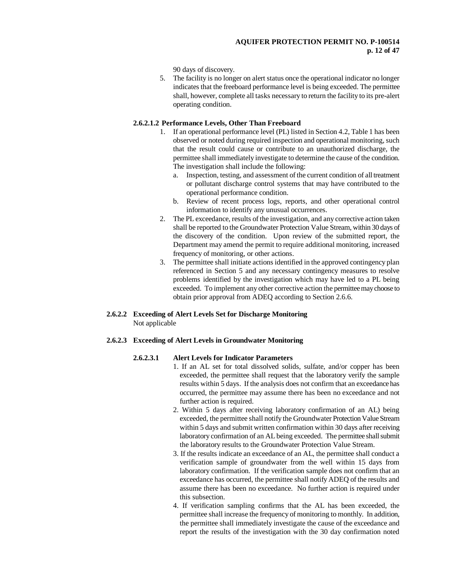90 days of discovery.

5. The facility is no longer on alert status once the operational indicator no longer indicates that the freeboard performance level is being exceeded. The permittee shall, however, complete all tasks necessary to return the facility to its pre-alert operating condition.

# **2.6.2.1.2 Performance Levels, Other Than Freeboard**

- 1. If an operational performance level (PL) listed in Section 4.2, Table 1 has been observed or noted during required inspection and operational monitoring, such that the result could cause or contribute to an unauthorized discharge, the permittee shall immediately investigate to determine the cause of the condition. The investigation shall include the following:
	- a. Inspection, testing, and assessment of the current condition of all treatment or pollutant discharge control systems that may have contributed to the operational performance condition.
	- b. Review of recent process logs, reports, and other operational control information to identify any unusual occurrences.
- 2. The PL exceedance, results of the investigation, and any corrective action taken shall be reported to the Groundwater Protection Value Stream, within 30 days of the discovery of the condition. Upon review of the submitted report, the Department may amend the permit to require additional monitoring, increased frequency of monitoring, or other actions.
- 3. The permittee shall initiate actions identified in the approved contingency plan referenced in Section 5 and any necessary contingency measures to resolve problems identified by the investigation which may have led to a PL being exceeded. To implement any other corrective action the permittee may choose to obtain prior approval from ADEQ according to Section 2.6.6.

# **2.6.2.2 Exceeding of Alert Levels Set for Discharge Monitoring** Not applicable

# **2.6.2.3 Exceeding of Alert Levels in Groundwater Monitoring**

# **2.6.2.3.1 Alert Levels for Indicator Parameters**

- 1. If an AL set for total dissolved solids, sulfate, and/or copper has been exceeded, the permittee shall request that the laboratory verify the sample results within 5 days. If the analysis does not confirm that an exceedance has occurred, the permittee may assume there has been no exceedance and not further action is required.
- 2. Within 5 days after receiving laboratory confirmation of an AL) being exceeded, the permittee shall notify the Groundwater Protection Value Stream within 5 days and submit written confirmation within 30 days after receiving laboratory confirmation of an AL being exceeded. The permittee shall submit the laboratory results to the Groundwater Protection Value Stream.
- 3. If the results indicate an exceedance of an AL, the permittee shall conduct a verification sample of groundwater from the well within 15 days from laboratory confirmation. If the verification sample does not confirm that an exceedance has occurred, the permittee shall notify ADEQ of the results and assume there has been no exceedance. No further action is required under this subsection.
- 4. If verification sampling confirms that the AL has been exceeded, the permittee shall increase the frequency of monitoring to monthly. In addition, the permittee shall immediately investigate the cause of the exceedance and report the results of the investigation with the 30 day confirmation noted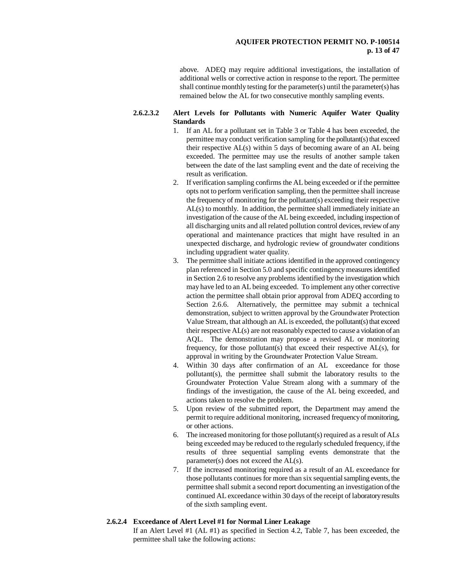#### **AQUIFER PROTECTION PERMIT NO. P-100514 p. 13 of 47**

above. ADEQ may require additional investigations, the installation of additional wells or corrective action in response to the report. The permittee shall continue monthly testing for the parameter(s) until the parameter(s) has remained below the AL for two consecutive monthly sampling events.

### **2.6.2.3.2 Alert Levels for Pollutants with Numeric Aquifer Water Quality Standards**

- 1. If an AL for a pollutant set in Table 3 or Table 4 has been exceeded, the permittee may conduct verification sampling for the pollutant(s) that exceed their respective AL(s) within 5 days of becoming aware of an AL being exceeded. The permittee may use the results of another sample taken between the date of the last sampling event and the date of receiving the result as verification.
- 2. If verification sampling confirms the AL being exceeded or if the permittee opts not to perform verification sampling, then the permittee shall increase the frequency of monitoring for the pollutant(s) exceeding their respective AL(s) to monthly. In addition, the permittee shall immediately initiate an investigation of the cause of the AL being exceeded, including inspection of all discharging units and all related pollution control devices, review of any operational and maintenance practices that might have resulted in an unexpected discharge, and hydrologic review of groundwater conditions including upgradient water quality.
- 3. The permittee shall initiate actions identified in the approved contingency plan referenced in Section 5.0 and specific contingency measures identified in Section 2.6 to resolve any problems identified by the investigation which may have led to an AL being exceeded. To implement any other corrective action the permittee shall obtain prior approval from ADEQ according to Section 2.6.6. Alternatively, the permittee may submit a technical demonstration, subject to written approval by the Groundwater Protection Value Stream, that although an AL is exceeded, the pollutant(s) that exceed their respective AL(s) are not reasonably expected to cause a violation of an AQL. The demonstration may propose a revised AL or monitoring frequency, for those pollutant(s) that exceed their respective AL(s), for approval in writing by the Groundwater Protection Value Stream.
- 4. Within 30 days after confirmation of an AL exceedance for those pollutant(s), the permittee shall submit the laboratory results to the Groundwater Protection Value Stream along with a summary of the findings of the investigation, the cause of the AL being exceeded, and actions taken to resolve the problem.
- 5. Upon review of the submitted report, the Department may amend the permit to require additional monitoring, increased frequency of monitoring, or other actions.
- 6. The increased monitoring for those pollutant(s) required as a result of ALs being exceeded may be reduced to the regularly scheduled frequency, if the results of three sequential sampling events demonstrate that the parameter(s) does not exceed the AL(s).
- 7. If the increased monitoring required as a result of an AL exceedance for those pollutants continues for more than six sequential sampling events, the permittee shall submit a second report documenting an investigation of the continued AL exceedance within 30 days of the receipt of laboratory results of the sixth sampling event.

# **2.6.2.4 Exceedance of Alert Level #1 for Normal Liner Leakage**

If an Alert Level #1 (AL #1) as specified in Section 4.2, Table 7, has been exceeded, the permittee shall take the following actions: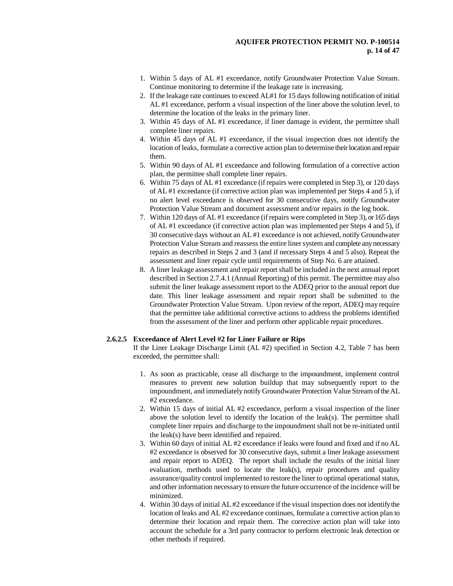- 1. Within 5 days of AL #1 exceedance, notify Groundwater Protection Value Stream. Continue monitoring to determine if the leakage rate is increasing.
- 2. If the leakage rate continues to exceed AL#1 for 15 days following notification of initial AL #1 exceedance, perform a visual inspection of the liner above the solution level, to determine the location of the leaks in the primary liner.
- 3. Within 45 days of AL #1 exceedance, if liner damage is evident, the permittee shall complete liner repairs.
- 4. Within 45 days of AL #1 exceedance, if the visual inspection does not identify the location of leaks, formulate a corrective action plan to determine their location and repair them.
- 5. Within 90 days of AL #1 exceedance and following formulation of a corrective action plan, the permittee shall complete liner repairs.
- 6. Within 75 days of AL #1 exceedance (if repairs were completed in Step 3), or 120 days of AL #1 exceedance (if corrective action plan was implemented per Steps 4 and 5 ), if no alert level exceedance is observed for 30 consecutive days, notify Groundwater Protection Value Stream and document assessment and/or repairs in the log book.
- 7. Within 120 days of AL #1 exceedance (if repairs were completed in Step 3), or 165 days of AL #1 exceedance (if corrective action plan was implemented per Steps 4 and 5), if 30 consecutive days without an AL #1 exceedance is not achieved, notify Groundwater Protection Value Stream and reassess the entire liner system and complete any necessary repairs as described in Steps 2 and 3 (and if necessary Steps 4 and 5 also). Repeat the assessment and liner repair cycle until requirements of Step No. 6 are attained.
- 8. A liner leakage assessment and repair report shall be included in the next annual report described in Section 2.7.4.1 (Annual Reporting) of this permit. The permittee may also submit the liner leakage assessment report to the ADEQ prior to the annual report due date. This liner leakage assessment and repair report shall be submitted to the Groundwater Protection Value Stream. Upon review of the report, ADEQ may require that the permittee take additional corrective actions to address the problems identified from the assessment of the liner and perform other applicable repair procedures.

#### **2.6.2.5 Exceedance of Alert Level #2 for Liner Failure or Rips**

If the Liner Leakage Discharge Limit (AL #2) specified in Section 4.2, Table 7 has been exceeded, the permittee shall:

- 1. As soon as practicable, cease all discharge to the impoundment, implement control measures to prevent new solution buildup that may subsequently report to the impoundment, and immediately notify Groundwater Protection Value Stream of the AL #2 exceedance.
- 2. Within 15 days of initial AL #2 exceedance, perform a visual inspection of the liner above the solution level to identify the location of the leak(s). The permittee shall complete liner repairs and discharge to the impoundment shall not be re-initiated until the leak(s) have been identified and repaired.
- 3. Within 60 days of initial AL #2 exceedance if leaks were found and fixed and if no AL #2 exceedance is observed for 30 consecutive days, submit a liner leakage assessment and repair report to ADEQ. The report shall include the results of the initial liner evaluation, methods used to locate the leak(s), repair procedures and quality assurance/quality control implemented to restore the liner to optimal operational status, and other information necessary to ensure the future occurrence of the incidence will be minimized.
- 4. Within 30 days of initial AL #2 exceedance if the visual inspection does not identify the location of leaks and AL #2 exceedance continues, formulate a corrective action plan to determine their location and repair them. The corrective action plan will take into account the schedule for a 3rd party contractor to perform electronic leak detection or other methods if required.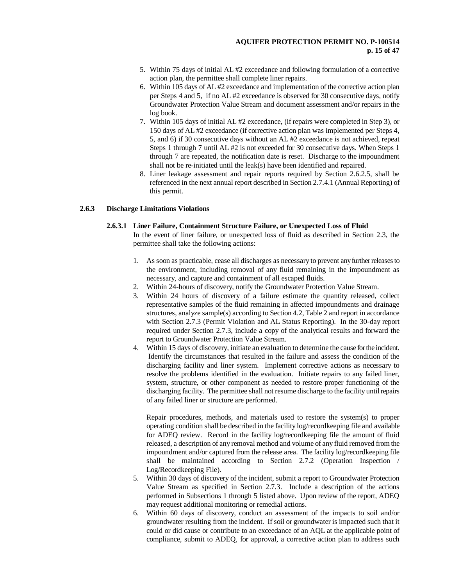- 5. Within 75 days of initial AL #2 exceedance and following formulation of a corrective action plan, the permittee shall complete liner repairs.
- 6. Within 105 days of AL #2 exceedance and implementation of the corrective action plan per Steps 4 and 5, if no AL #2 exceedance is observed for 30 consecutive days, notify Groundwater Protection Value Stream and document assessment and/or repairs in the log book.
- 7. Within 105 days of initial AL #2 exceedance, (if repairs were completed in Step 3), or 150 days of AL #2 exceedance (if corrective action plan was implemented per Steps 4, 5, and 6) if 30 consecutive days without an AL #2 exceedance is not achieved, repeat Steps 1 through 7 until AL #2 is not exceeded for 30 consecutive days. When Steps 1 through 7 are repeated, the notification date is reset. Discharge to the impoundment shall not be re-initiated until the leak(s) have been identified and repaired.
- 8. Liner leakage assessment and repair reports required by Section 2.6.2.5, shall be referenced in the next annual report described in Section 2.7.4.1 (Annual Reporting) of this permit.

#### **2.6.3 Discharge Limitations Violations**

#### **2.6.3.1 Liner Failure, Containment Structure Failure, or Unexpected Loss of Fluid**

In the event of liner failure, or unexpected loss of fluid as described in Section 2.3, the permittee shall take the following actions:

- 1. As soon as practicable, cease all discharges as necessary to prevent any further releases to the environment, including removal of any fluid remaining in the impoundment as necessary, and capture and containment of all escaped fluids.
- 2. Within 24-hours of discovery, notify the Groundwater Protection Value Stream.
- 3. Within 24 hours of discovery of a failure estimate the quantity released, collect representative samples of the fluid remaining in affected impoundments and drainage structures, analyze sample(s) according to Section 4.2, Table 2 and report in accordance with Section 2.7.3 (Permit Violation and AL Status Reporting). In the 30-day report required under Section 2.7.3, include a copy of the analytical results and forward the report to Groundwater Protection Value Stream.
- 4. Within 15 days of discovery, initiate an evaluation to determine the cause for the incident. Identify the circumstances that resulted in the failure and assess the condition of the discharging facility and liner system. Implement corrective actions as necessary to resolve the problems identified in the evaluation. Initiate repairs to any failed liner, system, structure, or other component as needed to restore proper functioning of the discharging facility. The permittee shall not resume discharge to the facility until repairs of any failed liner or structure are performed.

Repair procedures, methods, and materials used to restore the system(s) to proper operating condition shall be described in the facility log/recordkeeping file and available for ADEQ review. Record in the facility log/recordkeeping file the amount of fluid released, a description of any removal method and volume of any fluid removed from the impoundment and/or captured from the release area. The facility log/recordkeeping file shall be maintained according to Section 2.7.2 (Operation Inspection / Log/Recordkeeping File).

- 5. Within 30 days of discovery of the incident, submit a report to Groundwater Protection Value Stream as specified in Section 2.7.3. Include a description of the actions performed in Subsections 1 through 5 listed above. Upon review of the report, ADEQ may request additional monitoring or remedial actions.
- 6. Within 60 days of discovery, conduct an assessment of the impacts to soil and/or groundwater resulting from the incident. If soil or groundwater is impacted such that it could or did cause or contribute to an exceedance of an AQL at the applicable point of compliance, submit to ADEQ, for approval, a corrective action plan to address such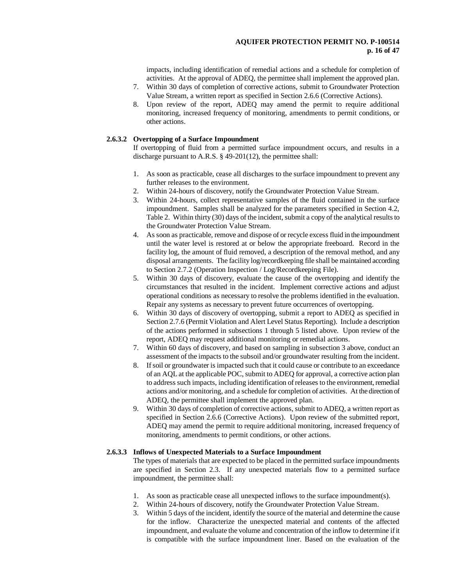### **AQUIFER PROTECTION PERMIT NO. P-100514 p. 16 of 47**

impacts, including identification of remedial actions and a schedule for completion of activities. At the approval of ADEQ, the permittee shall implement the approved plan.

- 7. Within 30 days of completion of corrective actions, submit to Groundwater Protection Value Stream, a written report as specified in Section 2.6.6 (Corrective Actions).
- 8. Upon review of the report, ADEQ may amend the permit to require additional monitoring, increased frequency of monitoring, amendments to permit conditions, or other actions.

#### **2.6.3.2 Overtopping of a Surface Impoundment**

If overtopping of fluid from a permitted surface impoundment occurs, and results in a discharge pursuant to A.R.S. § 49-201(12), the permittee shall:

- 1. As soon as practicable, cease all discharges to the surface impoundment to prevent any further releases to the environment.
- 2. Within 24-hours of discovery, notify the Groundwater Protection Value Stream.
- 3. Within 24-hours, collect representative samples of the fluid contained in the surface impoundment. Samples shall be analyzed for the parameters specified in Section 4.2, Table 2. Within thirty (30) days of the incident, submit a copy of the analytical results to the Groundwater Protection Value Stream.
- 4. As soon as practicable, remove and dispose of or recycle excess fluid in the impoundment until the water level is restored at or below the appropriate freeboard. Record in the facility log, the amount of fluid removed, a description of the removal method, and any disposal arrangements. The facility log/recordkeeping file shall be maintained according to Section 2.7.2 (Operation Inspection / Log/Recordkeeping File).
- 5. Within 30 days of discovery, evaluate the cause of the overtopping and identify the circumstances that resulted in the incident. Implement corrective actions and adjust operational conditions as necessary to resolve the problems identified in the evaluation. Repair any systems as necessary to prevent future occurrences of overtopping.
- 6. Within 30 days of discovery of overtopping, submit a report to ADEQ as specified in Section 2.7.6 (Permit Violation and Alert Level Status Reporting). Include a description of the actions performed in subsections 1 through 5 listed above. Upon review of the report, ADEQ may request additional monitoring or remedial actions.
- 7. Within 60 days of discovery, and based on sampling in subsection 3 above, conduct an assessment of the impacts to the subsoil and/or groundwater resulting from the incident.
- 8. If soil or groundwater is impacted such that it could cause or contribute to an exceedance of an AQL at the applicable POC, submit to ADEQ for approval, a corrective action plan to address such impacts, including identification of releases to the environment, remedial actions and/or monitoring, and a schedule for completion of activities. At the direction of ADEQ, the permittee shall implement the approved plan.
- 9. Within 30 days of completion of corrective actions, submit to ADEQ, a written report as specified in Section 2.6.6 (Corrective Actions). Upon review of the submitted report, ADEQ may amend the permit to require additional monitoring, increased frequency of monitoring, amendments to permit conditions, or other actions.

#### **2.6.3.3 Inflows of Unexpected Materials to a Surface Impoundment**

The types of materials that are expected to be placed in the permitted surface impoundments are specified in Section 2.3. If any unexpected materials flow to a permitted surface impoundment, the permittee shall:

- 1. As soon as practicable cease all unexpected inflows to the surface impoundment(s).
- 2. Within 24-hours of discovery, notify the Groundwater Protection Value Stream.
- 3. Within 5 days of the incident, identify the source of the material and determine the cause for the inflow. Characterize the unexpected material and contents of the affected impoundment, and evaluate the volume and concentration of the inflow to determine if it is compatible with the surface impoundment liner. Based on the evaluation of the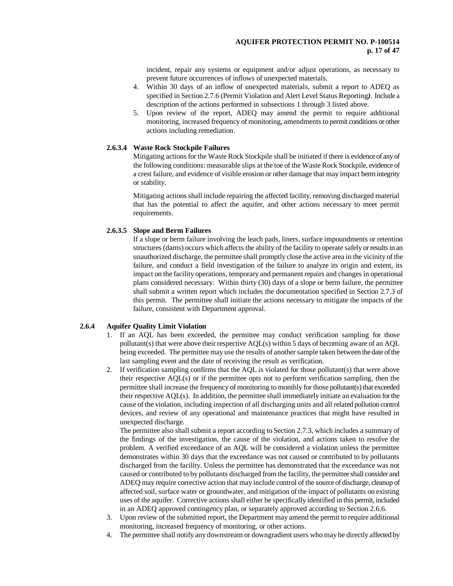incident, repair any systems or equipment and/or adjust operations, as necessary to prevent future occurrences of inflows of unexpected materials.

- 4. Within 30 days of an inflow of unexpected materials, submit a report to ADEQ as specified in Section 2.7.6 (Permit Violation and Alert LevelStatus Reporting*)*. Include a description of the actions performed in subsections 1 through 3 listed above.
- 5. Upon review of the report, ADEQ may amend the permit to require additional monitoring, increased frequency of monitoring, amendments to permit conditions or other actions including remediation.

#### **2.6.3.4 Waste Rock Stockpile Failures**

Mitigating actions for the Waste Rock Stockpile shall be initiated if there is evidence of any of the following conditions: measurable slips at the toe of the Waste Rock Stockpile, evidence of a crest failure, and evidence of visible erosion or other damage that may impact berm integrity or stability.

Mitigating actions shall include repairing the affected facility, removing discharged material that has the potential to affect the aquifer, and other actions necessary to meet permit requirements.

#### **2.6.3.5 Slope and Berm Failures**

If a slope or berm failure involving the leach pads, liners, surface impoundments or retention structures (dams) occurs which affects the ability of the facility to operate safely or results in an unauthorized discharge, the permittee shall promptly close the active area in the vicinity of the failure, and conduct a field investigation of the failure to analyze its origin and extent, its impact on the facility operations, temporary and permanent repairs and changes in operational plans considered necessary. Within thirty (30) days of a slope or berm failure, the permittee shall submit a written report which includes the documentation specified in Section 2.7.3 of this permit. The permittee shall initiate the actions necessary to mitigate the impacts of the failure, consistent with Department approval.

# **2.6.4 Aquifer Quality Limit Violation**

- 1. If an AQL has been exceeded, the permittee may conduct verification sampling for those pollutant(s) that were above their respective AQL(s) within 5 days of becoming aware of an AQL being exceeded. The permittee may use the results of another sample taken between the date of the last sampling event and the date of receiving the result as verification.
- 2. If verification sampling confirms that the AQL is violated for those pollutant(s) that were above their respective AQL(s) or if the permittee opts not to perform verification sampling, then the permittee shall increase the frequency of monitoring to monthly for those pollutant(s) that exceeded their respective AQL(s). In addition, the permittee shall immediately initiate an evaluation for the cause of the violation, including inspection of all discharging units and all related pollution control devices, and review of any operational and maintenance practices that might have resulted in unexpected discharge.

The permittee also shall submit a report according to Section 2.7.3, which includes a summary of the findings of the investigation, the cause of the violation, and actions taken to resolve the problem. A verified exceedance of an AQL will be considered a violation unless the permittee demonstrates within 30 days that the exceedance was not caused or contributed to by pollutants discharged from the facility. Unless the permittee has demonstrated that the exceedance was not caused or contributed to by pollutants discharged from the facility, the permittee shall consider and ADEQ may require corrective action that may include control of the source of discharge, cleanup of affected soil, surface water or groundwater, and mitigation of the impact of pollutants on existing uses of the aquifer. Corrective actions shall either be specifically identified in this permit, included in an ADEQ approved contingency plan, or separately approved according to Section 2.6.6.

- 3. Upon review of the submitted report, the Department may amend the permit to require additional monitoring, increased frequency of monitoring, or other actions.
- 4. The permittee shall notify any downstream or downgradient users who may be directly affected by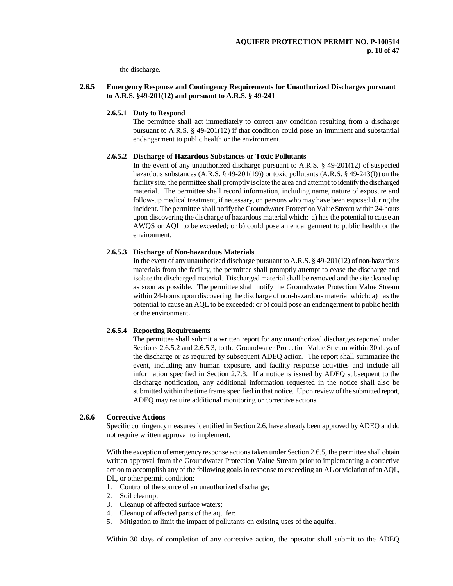the discharge.

#### **2.6.5 Emergency Response and Contingency Requirements for Unauthorized Discharges pursuant to A.R.S. §49-201(12) and pursuant to A.R.S. § 49-241**

#### **2.6.5.1 Duty to Respond**

The permittee shall act immediately to correct any condition resulting from a discharge pursuant to A.R.S. § 49-201(12) if that condition could pose an imminent and substantial endangerment to public health or the environment.

#### **2.6.5.2 Discharge of Hazardous Substances or Toxic Pollutants**

In the event of any unauthorized discharge pursuant to A.R.S. § 49-201(12) of suspected hazardous substances  $(A.R.S. \S 49-201(19))$  or toxic pollutants  $(A.R.S. \S 49-243(I))$  on the facility site, the permittee shall promptly isolate the area and attempt to identify the discharged material. The permittee shall record information, including name, nature of exposure and follow-up medical treatment, if necessary, on persons who may have been exposed during the incident. The permittee shall notify the Groundwater Protection Value Stream within 24-hours upon discovering the discharge of hazardous material which: a) has the potential to cause an AWQS or AQL to be exceeded; or b) could pose an endangerment to public health or the environment.

#### **2.6.5.3 Discharge of Non-hazardous Materials**

In the event of any unauthorized discharge pursuant to A.R.S. § 49-201(12) of non-hazardous materials from the facility, the permittee shall promptly attempt to cease the discharge and isolate the discharged material. Discharged material shall be removed and the site cleaned up as soon as possible. The permittee shall notify the Groundwater Protection Value Stream within 24-hours upon discovering the discharge of non-hazardous material which: a) has the potential to cause an AQL to be exceeded; or b) could pose an endangerment to public health or the environment.

# **2.6.5.4 Reporting Requirements**

The permittee shall submit a written report for any unauthorized discharges reported under Sections 2.6.5.2 and 2.6.5.3, to the Groundwater Protection Value Stream within 30 days of the discharge or as required by subsequent ADEQ action. The report shall summarize the event, including any human exposure, and facility response activities and include all information specified in Section 2.7.3. If a notice is issued by ADEQ subsequent to the discharge notification, any additional information requested in the notice shall also be submitted within the time frame specified in that notice. Upon review of the submitted report, ADEQ may require additional monitoring or corrective actions.

#### **2.6.6 Corrective Actions**

Specific contingency measures identified in Section 2.6, have already been approved by ADEQ and do not require written approval to implement.

With the exception of emergency response actions taken under Section 2.6.5, the permittee shall obtain written approval from the Groundwater Protection Value Stream prior to implementing a corrective action to accomplish any of the following goals in response to exceeding an AL or violation of an AQL, DL, or other permit condition:

- 1. Control of the source of an unauthorized discharge;
- 2. Soil cleanup;
- 3. Cleanup of affected surface waters;
- 4. Cleanup of affected parts of the aquifer;
- 5. Mitigation to limit the impact of pollutants on existing uses of the aquifer.

Within 30 days of completion of any corrective action, the operator shall submit to the ADEQ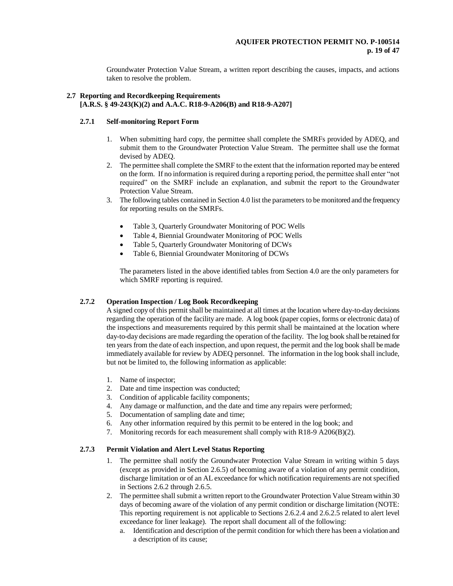Groundwater Protection Value Stream, a written report describing the causes, impacts, and actions taken to resolve the problem.

### **2.7 Reporting and Recordkeeping Requirements [A.R.S. § 49-243(K)(2) and A.A.C. R18-9-A206(B) and R18-9-A207]**

# **2.7.1 Self-monitoring Report Form**

- 1. When submitting hard copy, the permittee shall complete the SMRFs provided by ADEQ, and submit them to the Groundwater Protection Value Stream. The permittee shall use the format devised by ADEQ.
- 2. The permittee shall complete the SMRF to the extent that the information reported may be entered on the form. If no information is required during a reporting period, the permittee shall enter "not required" on the SMRF include an explanation, and submit the report to the Groundwater Protection Value Stream.
- 3. The following tables contained in Section 4.0 list the parameters to be monitored and the frequency for reporting results on the SMRFs.
	- Table 3, Quarterly Groundwater Monitoring of POC Wells
	- Table 4, Biennial Groundwater Monitoring of POC Wells
	- Table 5, Quarterly Groundwater Monitoring of DCWs
	- Table 6, Biennial Groundwater Monitoring of DCWs

The parameters listed in the above identified tables from Section 4.0 are the only parameters for which SMRF reporting is required.

# **2.7.2 Operation Inspection / Log Book Recordkeeping**

A signed copy of this permit shall be maintained at all times at the location where day-to-day decisions regarding the operation of the facility are made. A log book (paper copies, forms or electronic data) of the inspections and measurements required by this permit shall be maintained at the location where day-to-day decisions are made regarding the operation of the facility. The log book shall be retained for ten years from the date of each inspection, and upon request, the permit and the log book shall be made immediately available for review by ADEQ personnel. The information in the log book shall include, but not be limited to, the following information as applicable:

- 1. Name of inspector;
- 2. Date and time inspection was conducted;
- 3. Condition of applicable facility components;
- 4. Any damage or malfunction, and the date and time any repairs were performed;
- 5. Documentation of sampling date and time;
- 6. Any other information required by this permit to be entered in the log book; and
- 7. Monitoring records for each measurement shall comply with R18-9 A206(B)(2).

# **2.7.3 Permit Violation and Alert Level Status Reporting**

- 1. The permittee shall notify the Groundwater Protection Value Stream in writing within 5 days (except as provided in Section 2.6.5) of becoming aware of a violation of any permit condition, discharge limitation or of an AL exceedance for which notification requirements are not specified in Sections 2.6.2 through 2.6.5.
- 2. The permittee shall submit a written report to the Groundwater Protection Value Stream within 30 days of becoming aware of the violation of any permit condition or discharge limitation (NOTE: This reporting requirement is not applicable to Sections 2.6.2.4 and 2.6.2.5 related to alert level exceedance for liner leakage). The report shall document all of the following:
	- a. Identification and description of the permit condition for which there has been a violation and a description of its cause;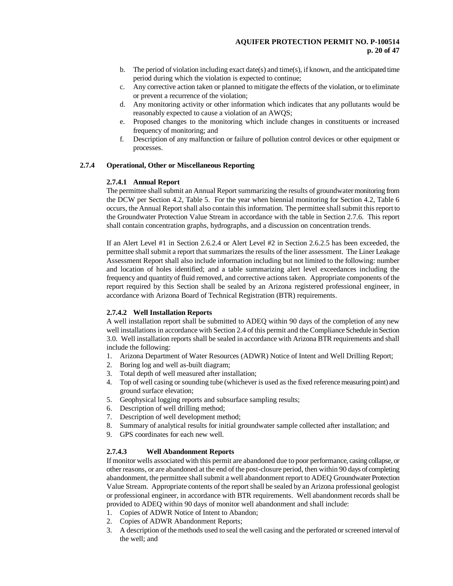- b. The period of violation including exact date(s) and time(s), if known, and the anticipated time period during which the violation is expected to continue;
- c. Any corrective action taken or planned to mitigate the effects of the violation, or to eliminate or prevent a recurrence of the violation;
- d. Any monitoring activity or other information which indicates that any pollutants would be reasonably expected to cause a violation of an AWQS;
- e. Proposed changes to the monitoring which include changes in constituents or increased frequency of monitoring; and
- f. Description of any malfunction or failure of pollution control devices or other equipment or processes.

#### **2.7.4 Operational, Other or Miscellaneous Reporting**

### **2.7.4.1 Annual Report**

The permittee shall submit an Annual Report summarizing the results of groundwater monitoring from the DCW per Section 4.2, Table 5. For the year when biennial monitoring for Section 4.2, Table 6 occurs, the Annual Report shall also contain this information. The permittee shall submit this reportto the Groundwater Protection Value Stream in accordance with the table in Section 2.7.6. This report shall contain concentration graphs, hydrographs, and a discussion on concentration trends.

If an Alert Level #1 in Section 2.6.2.4 or Alert Level #2 in Section 2.6.2.5 has been exceeded, the permittee shall submit a report that summarizes the results of the liner assessment. The Liner Leakage Assessment Report shall also include information including but not limited to the following: number and location of holes identified; and a table summarizing alert level exceedances including the frequency and quantity of fluid removed, and corrective actions taken. Appropriate components of the report required by this Section shall be sealed by an Arizona registered professional engineer, in accordance with Arizona Board of Technical Registration (BTR) requirements.

#### **2.7.4.2 Well Installation Reports**

A well installation report shall be submitted to ADEQ within 90 days of the completion of any new well installations in accordance with Section 2.4 of this permit and the Compliance Schedule in Section 3.0. Well installation reports shall be sealed in accordance with Arizona BTR requirements and shall include the following:

- 1. Arizona Department of Water Resources (ADWR) Notice of Intent and Well Drilling Report;
- 2. Boring log and well as-built diagram;
- 3. Total depth of well measured after installation;
- 4. Top of well casing or sounding tube (whichever is used as the fixed reference measuring point) and ground surface elevation;
- 5. Geophysical logging reports and subsurface sampling results;
- 6. Description of well drilling method;
- 7. Description of well development method;
- 8. Summary of analytical results for initial groundwater sample collected after installation; and
- 9. GPS coordinates for each new well.

# **2.7.4.3 Well Abandonment Reports**

If monitor wells associated with this permit are abandoned due to poor performance, casing collapse, or other reasons, or are abandoned at the end of the post-closure period, then within 90 days of completing abandonment, the permittee shall submit a well abandonment report to ADEQ Groundwater Protection Value Stream. Appropriate contents of the report shall be sealed by an Arizona professional geologist or professional engineer, in accordance with BTR requirements. Well abandonment records shall be provided to ADEQ within 90 days of monitor well abandonment and shall include:

- 1. Copies of ADWR Notice of Intent to Abandon;
- 2. Copies of ADWR Abandonment Reports;
- 3. A description of the methods used to seal the well casing and the perforated or screened interval of the well; and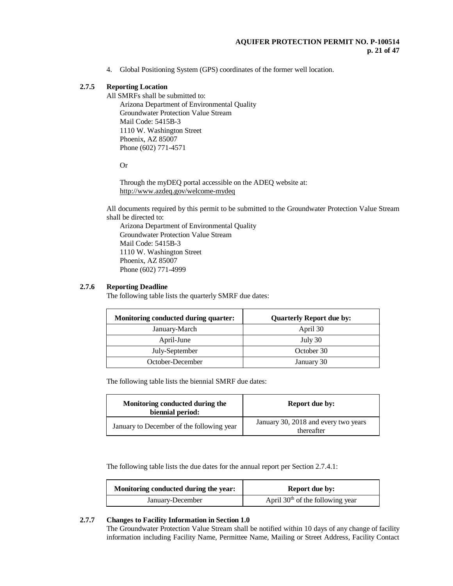4. Global Positioning System (GPS) coordinates of the former well location.

# **2.7.5 Reporting Location**

All SMRFs shall be submitted to: Arizona Department of Environmental Quality Groundwater Protection Value Stream Mail Code: 5415B-3 1110 W. Washington Street Phoenix, AZ 85007 Phone (602) 771-4571

Or

Through the myDEQ portal accessible on the ADEQ website at: <http://www.azdeq.gov/welcome-mydeq>

All documents required by this permit to be submitted to the Groundwater Protection Value Stream shall be directed to:

Arizona Department of Environmental Quality Groundwater Protection Value Stream Mail Code: 5415B-3 1110 W. Washington Street Phoenix, AZ 85007 Phone (602) 771-4999

# **2.7.6 Reporting Deadline**

The following table lists the quarterly SMRF due dates:

| Monitoring conducted during quarter: | <b>Quarterly Report due by:</b> |
|--------------------------------------|---------------------------------|
| January-March                        | April 30                        |
| April-June                           | July 30                         |
| July-September                       | October 30                      |
| October-December                     | January 30                      |

The following table lists the biennial SMRF due dates:

| Monitoring conducted during the<br>biennial period: | <b>Report due by:</b>                              |
|-----------------------------------------------------|----------------------------------------------------|
| January to December of the following year           | January 30, 2018 and every two years<br>thereafter |

The following table lists the due dates for the annual report per Section 2.7.4.1:

| Monitoring conducted during the year: | <b>Report due by:</b>              |
|---------------------------------------|------------------------------------|
| January-December                      | April $30th$ of the following year |

#### **2.7.7 Changes to Facility Information in Section 1.0**

The Groundwater Protection Value Stream shall be notified within 10 days of any change of facility information including Facility Name, Permittee Name, Mailing or Street Address, Facility Contact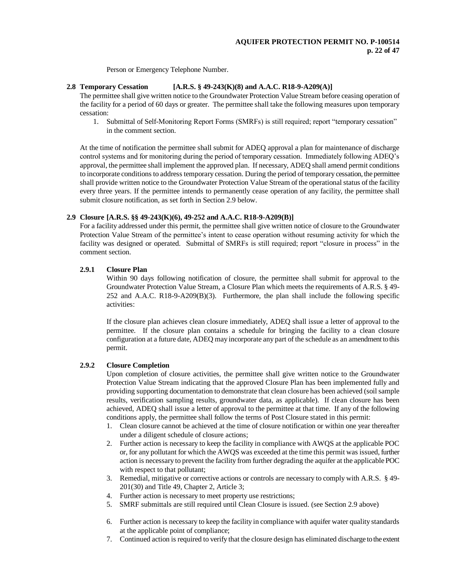Person or Emergency Telephone Number.

# **2.8 Temporary Cessation [A.R.S. § 49-243(K)(8) and A.A.C. R18-9-A209(A)]**

The permittee shall give written notice to the Groundwater Protection Value Stream before ceasing operation of the facility for a period of 60 days or greater. The permittee shall take the following measures upon temporary cessation:

1. Submittal of Self-Monitoring Report Forms (SMRFs) is still required; report "temporary cessation" in the comment section.

At the time of notification the permittee shall submit for ADEQ approval a plan for maintenance of discharge control systems and for monitoring during the period of temporary cessation. Immediately following ADEQ's approval, the permittee shall implement the approved plan. If necessary, ADEQ shall amend permit conditions to incorporate conditions to address temporary cessation. During the period of temporary cessation, the permittee shall provide written notice to the Groundwater Protection Value Stream of the operational status of the facility every three years. If the permittee intends to permanently cease operation of any facility, the permittee shall submit closure notification, as set forth in Section 2.9 below.

# **2.9 Closure [A.R.S. §§ 49-243(K)(6), 49-252 and A.A.C. R18-9-A209(B)]**

For a facility addressed under this permit, the permittee shall give written notice of closure to the Groundwater Protection Value Stream of the permittee's intent to cease operation without resuming activity for which the facility was designed or operated. Submittal of SMRFs is still required; report "closure in process" in the comment section.

#### **2.9.1 Closure Plan**

Within 90 days following notification of closure, the permittee shall submit for approval to the Groundwater Protection Value Stream, a Closure Plan which meets the requirements of A.R.S. § 49- 252 and A.A.C. R18-9-A209(B)(3). Furthermore, the plan shall include the following specific activities:

If the closure plan achieves clean closure immediately, ADEQ shall issue a letter of approval to the permittee. If the closure plan contains a schedule for bringing the facility to a clean closure configuration at a future date, ADEQ may incorporate any part of the schedule as an amendment to this permit.

# **2.9.2 Closure Completion**

Upon completion of closure activities, the permittee shall give written notice to the Groundwater Protection Value Stream indicating that the approved Closure Plan has been implemented fully and providing supporting documentation to demonstrate that clean closure has been achieved (soil sample results, verification sampling results, groundwater data, as applicable). If clean closure has been achieved, ADEQ shall issue a letter of approval to the permittee at that time. If any of the following conditions apply, the permittee shall follow the terms of Post Closure stated in this permit:

- 1. Clean closure cannot be achieved at the time of closure notification or within one year thereafter under a diligent schedule of closure actions;
- 2. Further action is necessary to keep the facility in compliance with AWQS at the applicable POC or, for any pollutant for which the AWQS was exceeded at the time this permit was issued, further action is necessary to prevent the facility from further degrading the aquifer at the applicable POC with respect to that pollutant;
- 3. Remedial, mitigative or corrective actions or controls are necessary to comply with A.R.S. § 49- 201(30) and Title 49, Chapter 2, Article 3;
- 4. Further action is necessary to meet property use restrictions;
- 5. SMRF submittals are still required until Clean Closure is issued. (see Section 2.9 above)
- 6. Further action is necessary to keep the facility in compliance with aquifer water quality standards at the applicable point of compliance;
- 7. Continued action is required to verify that the closure design has eliminated discharge to the extent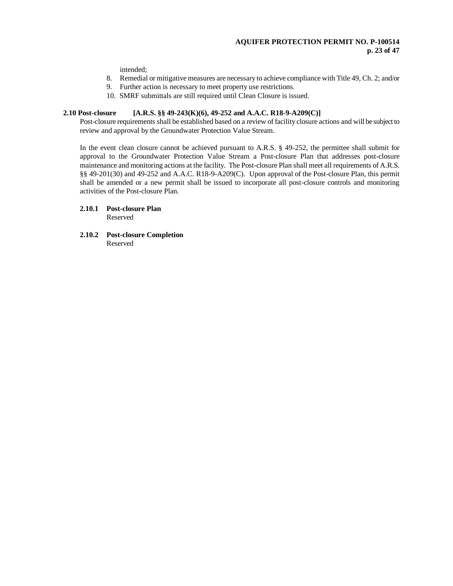# **AQUIFER PROTECTION PERMIT NO. P-100514 p. 23 of 47**

intended;

- 8. Remedial or mitigative measures are necessary to achieve compliance with Title 49, Ch. 2; and/or
- 9. Further action is necessary to meet property use restrictions.
- 10. SMRF submittals are still required until Clean Closure is issued.

# **2.10 Post-closure [A.R.S. §§ 49-243(K)(6), 49-252 and A.A.C. R18-9-A209(C)]**

Post-closure requirements shall be established based on a review of facility closure actions and will be subject to review and approval by the Groundwater Protection Value Stream.

In the event clean closure cannot be achieved pursuant to A.R.S. § 49-252, the permittee shall submit for approval to the Groundwater Protection Value Stream a Post-closure Plan that addresses post-closure maintenance and monitoring actions at the facility. The Post-closure Plan shall meet all requirements of A.R.S. §§ 49-201(30) and 49-252 and A.A.C. R18-9-A209(C). Upon approval of the Post-closure Plan, this permit shall be amended or a new permit shall be issued to incorporate all post-closure controls and monitoring activities of the Post-closure Plan.

#### **2.10.1 Post-closure Plan** Reserved

**2.10.2 Post-closure Completion** Reserved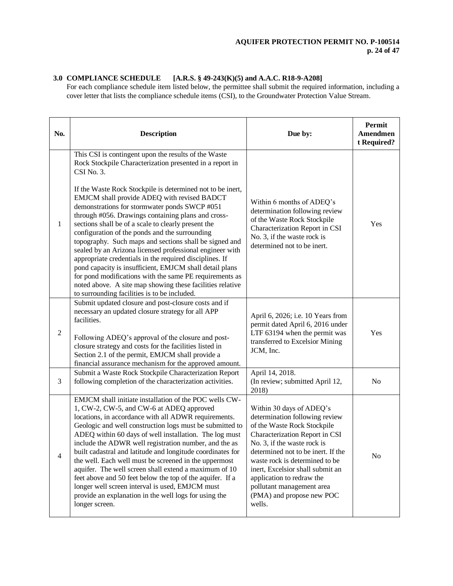# **3.0 COMPLIANCE SCHEDULE [A.R.S. § 49-243(K)(5) and A.A.C. R18-9-A208]**

For each compliance schedule item listed below, the permittee shall submit the required information, including a cover letter that lists the compliance schedule items (CSI), to the Groundwater Protection Value Stream.

| No.            | <b>Description</b>                                                                                                                                                                                                                                                                                                                                                                                                                                                                                                                                                                                                                                                                                                                                                                                                                                                              | Due by:                                                                                                                                                                                                                                                                                                                                                                 | Permit<br>Amendmen<br>t Required? |
|----------------|---------------------------------------------------------------------------------------------------------------------------------------------------------------------------------------------------------------------------------------------------------------------------------------------------------------------------------------------------------------------------------------------------------------------------------------------------------------------------------------------------------------------------------------------------------------------------------------------------------------------------------------------------------------------------------------------------------------------------------------------------------------------------------------------------------------------------------------------------------------------------------|-------------------------------------------------------------------------------------------------------------------------------------------------------------------------------------------------------------------------------------------------------------------------------------------------------------------------------------------------------------------------|-----------------------------------|
| 1              | This CSI is contingent upon the results of the Waste<br>Rock Stockpile Characterization presented in a report in<br>CSI No. 3.<br>If the Waste Rock Stockpile is determined not to be inert,<br>EMJCM shall provide ADEQ with revised BADCT<br>demonstrations for stormwater ponds SWCP #051<br>through #056. Drawings containing plans and cross-<br>sections shall be of a scale to clearly present the<br>configuration of the ponds and the surrounding<br>topography. Such maps and sections shall be signed and<br>sealed by an Arizona licensed professional engineer with<br>appropriate credentials in the required disciplines. If<br>pond capacity is insufficient, EMJCM shall detail plans<br>for pond modifications with the same PE requirements as<br>noted above. A site map showing these facilities relative<br>to surrounding facilities is to be included. | Within 6 months of ADEQ's<br>determination following review<br>of the Waste Rock Stockpile<br>Characterization Report in CSI<br>No. 3, if the waste rock is<br>determined not to be inert.                                                                                                                                                                              | Yes                               |
| $\sqrt{2}$     | Submit updated closure and post-closure costs and if<br>necessary an updated closure strategy for all APP<br>facilities.<br>Following ADEQ's approval of the closure and post-<br>closure strategy and costs for the facilities listed in<br>Section 2.1 of the permit, EMJCM shall provide a<br>financial assurance mechanism for the approved amount.                                                                                                                                                                                                                                                                                                                                                                                                                                                                                                                         | April 6, 2026; i.e. 10 Years from<br>permit dated April 6, 2016 under<br>LTF 63194 when the permit was<br>transferred to Excelsior Mining<br>JCM, Inc.                                                                                                                                                                                                                  | Yes                               |
| 3              | Submit a Waste Rock Stockpile Characterization Report<br>following completion of the characterization activities.                                                                                                                                                                                                                                                                                                                                                                                                                                                                                                                                                                                                                                                                                                                                                               | April 14, 2018.<br>(In review; submitted April 12,<br>2018)                                                                                                                                                                                                                                                                                                             | No                                |
| $\overline{4}$ | EMJCM shall initiate installation of the POC wells CW-<br>1, CW-2, CW-5, and CW-6 at ADEQ approved<br>locations, in accordance with all ADWR requirements.<br>Geologic and well construction logs must be submitted to<br>ADEQ within 60 days of well installation. The log must<br>include the ADWR well registration number, and the as<br>built cadastral and latitude and longitude coordinates for<br>the well. Each well must be screened in the uppermost<br>aquifer. The well screen shall extend a maximum of 10<br>feet above and 50 feet below the top of the aquifer. If a<br>longer well screen interval is used, EMJCM must<br>provide an explanation in the well logs for using the<br>longer screen.                                                                                                                                                            | Within 30 days of ADEQ's<br>determination following review<br>of the Waste Rock Stockpile<br>Characterization Report in CSI<br>No. 3, if the waste rock is<br>determined not to be inert. If the<br>waste rock is determined to be<br>inert, Excelsior shall submit an<br>application to redraw the<br>pollutant management area<br>(PMA) and propose new POC<br>wells. | No                                |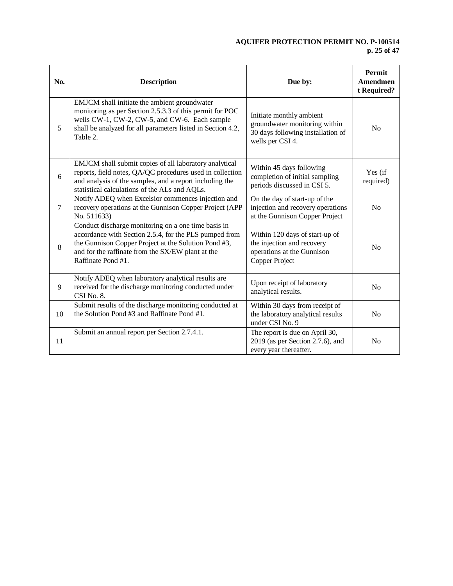# **AQUIFER PROTECTION PERMIT NO. P-100514 p. 25 of 47**

| No.    | <b>Description</b>                                                                                                                                                                                                                               | Due by:                                                                                                            | Permit<br><b>Amendmen</b><br>t Required? |
|--------|--------------------------------------------------------------------------------------------------------------------------------------------------------------------------------------------------------------------------------------------------|--------------------------------------------------------------------------------------------------------------------|------------------------------------------|
| 5      | EMJCM shall initiate the ambient groundwater<br>monitoring as per Section 2.5.3.3 of this permit for POC<br>wells CW-1, CW-2, CW-5, and CW-6. Each sample<br>shall be analyzed for all parameters listed in Section 4.2,<br>Table 2.             | Initiate monthly ambient<br>groundwater monitoring within<br>30 days following installation of<br>wells per CSI 4. | N <sub>0</sub>                           |
| 6      | EMJCM shall submit copies of all laboratory analytical<br>reports, field notes, QA/QC procedures used in collection<br>and analysis of the samples, and a report including the<br>statistical calculations of the ALs and AQLs.                  | Within 45 days following<br>completion of initial sampling<br>periods discussed in CSI 5.                          | Yes (if<br>required)                     |
| $\tau$ | Notify ADEQ when Excelsior commences injection and<br>recovery operations at the Gunnison Copper Project (APP<br>No. 511633)                                                                                                                     | On the day of start-up of the<br>injection and recovery operations<br>at the Gunnison Copper Project               | N <sub>o</sub>                           |
| 8      | Conduct discharge monitoring on a one time basis in<br>accordance with Section 2.5.4, for the PLS pumped from<br>the Gunnison Copper Project at the Solution Pond #3,<br>and for the raffinate from the SX/EW plant at the<br>Raffinate Pond #1. | Within 120 days of start-up of<br>the injection and recovery<br>operations at the Gunnison<br>Copper Project       | N <sub>0</sub>                           |
| 9      | Notify ADEQ when laboratory analytical results are<br>received for the discharge monitoring conducted under<br>CSI No. 8.                                                                                                                        | Upon receipt of laboratory<br>analytical results.                                                                  | No                                       |
| 10     | Submit results of the discharge monitoring conducted at<br>the Solution Pond #3 and Raffinate Pond #1.                                                                                                                                           | Within 30 days from receipt of<br>the laboratory analytical results<br>under CSI No. 9                             | No                                       |
| 11     | Submit an annual report per Section 2.7.4.1.                                                                                                                                                                                                     | The report is due on April 30,<br>$2019$ (as per Section 2.7.6), and<br>every year thereafter.                     | N <sub>0</sub>                           |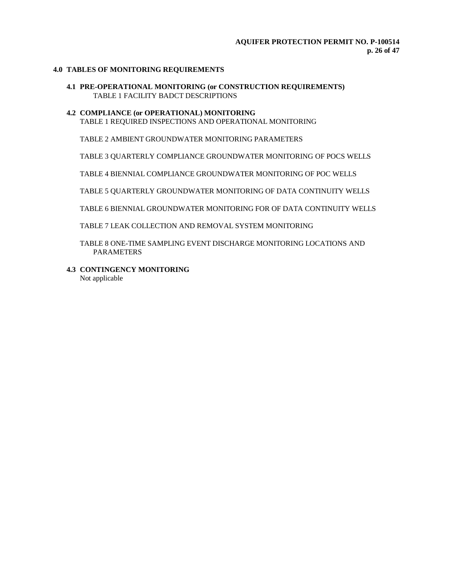# **4.0 TABLES OF MONITORING REQUIREMENTS**

**4.1 PRE-OPERATIONAL MONITORING (or CONSTRUCTION REQUIREMENTS)** TABLE 1 FACILITY BADCT DESCRIPTIONS

### **4.2 COMPLIANCE (or OPERATIONAL) MONITORING** TABLE 1 REQUIRED INSPECTIONS AND OPERATIONAL MONITORING

TABLE 2 AMBIENT GROUNDWATER MONITORING PARAMETERS

TABLE 3 QUARTERLY COMPLIANCE GROUNDWATER MONITORING OF POCS WELLS

TABLE 4 BIENNIAL COMPLIANCE GROUNDWATER MONITORING OF POC WELLS

TABLE 5 QUARTERLY GROUNDWATER MONITORING OF DATA CONTINUITY WELLS

TABLE 6 BIENNIAL GROUNDWATER MONITORING FOR OF DATA CONTINUITY WELLS

TABLE 7 LEAK COLLECTION AND REMOVAL SYSTEM MONITORING

TABLE 8 ONE-TIME SAMPLING EVENT DISCHARGE MONITORING LOCATIONS AND PARAMETERS

**4.3 CONTINGENCY MONITORING**

Not applicable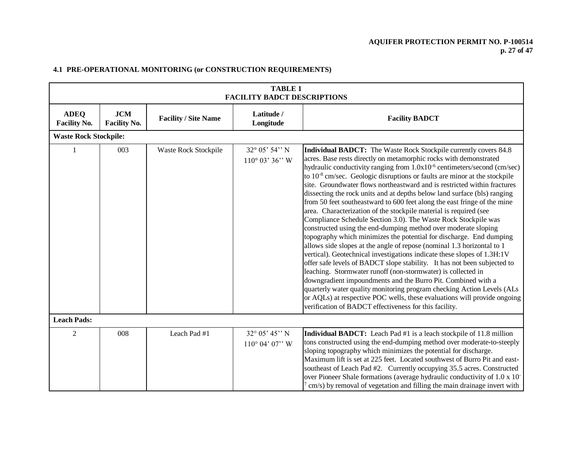# **AQUIFER PROTECTION PERMIT NO. P-100514 p. 27 of 47**

|                                    | <b>TABLE 1</b><br><b>FACILITY BADCT DESCRIPTIONS</b> |                             |                                                   |                                                                                                                                                                                                                                                                                                                                                                                                                                                                                                                                                                                                                                                                                                                                                                                                                                                                                                                                                                                                                                                                                                                                                                                                                                                                                                                                                                                                                             |  |  |
|------------------------------------|------------------------------------------------------|-----------------------------|---------------------------------------------------|-----------------------------------------------------------------------------------------------------------------------------------------------------------------------------------------------------------------------------------------------------------------------------------------------------------------------------------------------------------------------------------------------------------------------------------------------------------------------------------------------------------------------------------------------------------------------------------------------------------------------------------------------------------------------------------------------------------------------------------------------------------------------------------------------------------------------------------------------------------------------------------------------------------------------------------------------------------------------------------------------------------------------------------------------------------------------------------------------------------------------------------------------------------------------------------------------------------------------------------------------------------------------------------------------------------------------------------------------------------------------------------------------------------------------------|--|--|
| <b>ADEQ</b><br><b>Facility No.</b> | <b>JCM</b><br><b>Facility No.</b>                    | <b>Facility / Site Name</b> | Latitude /<br>Longitude                           | <b>Facility BADCT</b>                                                                                                                                                                                                                                                                                                                                                                                                                                                                                                                                                                                                                                                                                                                                                                                                                                                                                                                                                                                                                                                                                                                                                                                                                                                                                                                                                                                                       |  |  |
| <b>Waste Rock Stockpile:</b>       |                                                      |                             |                                                   |                                                                                                                                                                                                                                                                                                                                                                                                                                                                                                                                                                                                                                                                                                                                                                                                                                                                                                                                                                                                                                                                                                                                                                                                                                                                                                                                                                                                                             |  |  |
|                                    | 003                                                  | Waste Rock Stockpile        | $32^{\circ}$ 05' 54" N<br>$110^{\circ}$ 03' 36" W | <b>Individual BADCT:</b> The Waste Rock Stockpile currently covers 84.8<br>acres. Base rests directly on metamorphic rocks with demonstrated<br>hydraulic conductivity ranging from 1.0x10 <sup>-6</sup> centimeters/second (cm/sec)<br>to $10^{-8}$ cm/sec. Geologic disruptions or faults are minor at the stockpile<br>site. Groundwater flows northeastward and is restricted within fractures<br>dissecting the rock units and at depths below land surface (bls) ranging<br>from 50 feet southeastward to 600 feet along the east fringe of the mine<br>area. Characterization of the stockpile material is required (see<br>Compliance Schedule Section 3.0). The Waste Rock Stockpile was<br>constructed using the end-dumping method over moderate sloping<br>topography which minimizes the potential for discharge. End dumping<br>allows side slopes at the angle of repose (nominal 1.3 horizontal to 1<br>vertical). Geotechnical investigations indicate these slopes of 1.3H:1V<br>offer safe levels of BADCT slope stability. It has not been subjected to<br>leaching. Stormwater runoff (non-stormwater) is collected in<br>downgradient impoundments and the Burro Pit. Combined with a<br>quarterly water quality monitoring program checking Action Levels (ALs<br>or AQLs) at respective POC wells, these evaluations will provide ongoing<br>verification of BADCT effectiveness for this facility. |  |  |
| <b>Leach Pads:</b>                 |                                                      |                             |                                                   |                                                                                                                                                                                                                                                                                                                                                                                                                                                                                                                                                                                                                                                                                                                                                                                                                                                                                                                                                                                                                                                                                                                                                                                                                                                                                                                                                                                                                             |  |  |
| 2                                  | 008                                                  | Leach Pad #1                | 32° 05' 45" N<br>$110^{\circ}$ 04' 07" W          | Individual BADCT: Leach Pad #1 is a leach stockpile of 11.8 million<br>tons constructed using the end-dumping method over moderate-to-steeply<br>sloping topography which minimizes the potential for discharge.<br>Maximum lift is set at 225 feet. Located southwest of Burro Pit and east-<br>southeast of Leach Pad #2. Currently occupying 35.5 acres. Constructed<br>over Pioneer Shale formations (average hydraulic conductivity of 1.0 x 10-<br>cm/s) by removal of vegetation and filling the main drainage invert with                                                                                                                                                                                                                                                                                                                                                                                                                                                                                                                                                                                                                                                                                                                                                                                                                                                                                           |  |  |

# **4.1 PRE-OPERATIONAL MONITORING (or CONSTRUCTION REQUIREMENTS)**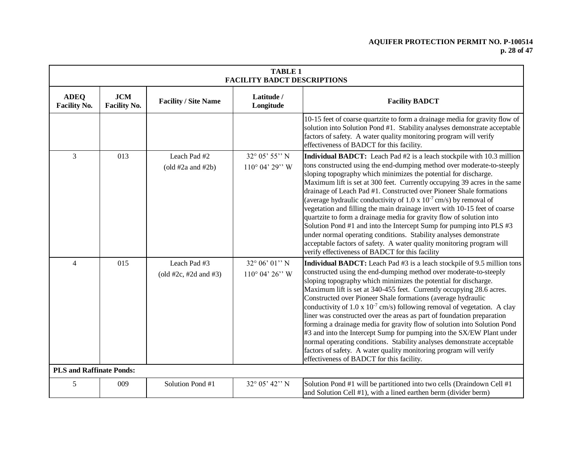# **AQUIFER PROTECTION PERMIT NO. P-100514 p. 28 of 47**

| <b>TABLE 1</b><br><b>FACILITY BADCT DESCRIPTIONS</b> |                                   |                                           |                                                    |                                                                                                                                                                                                                                                                                                                                                                                                                                                                                                                                                                                                                                                                                                                                                                                                                                                                                |
|------------------------------------------------------|-----------------------------------|-------------------------------------------|----------------------------------------------------|--------------------------------------------------------------------------------------------------------------------------------------------------------------------------------------------------------------------------------------------------------------------------------------------------------------------------------------------------------------------------------------------------------------------------------------------------------------------------------------------------------------------------------------------------------------------------------------------------------------------------------------------------------------------------------------------------------------------------------------------------------------------------------------------------------------------------------------------------------------------------------|
| <b>ADEQ</b><br><b>Facility No.</b>                   | <b>JCM</b><br><b>Facility No.</b> | <b>Facility / Site Name</b>               | Latitude /<br>Longitude                            | <b>Facility BADCT</b>                                                                                                                                                                                                                                                                                                                                                                                                                                                                                                                                                                                                                                                                                                                                                                                                                                                          |
|                                                      |                                   |                                           |                                                    | 10-15 feet of coarse quartzite to form a drainage media for gravity flow of<br>solution into Solution Pond #1. Stability analyses demonstrate acceptable<br>factors of safety. A water quality monitoring program will verify<br>effectiveness of BADCT for this facility.                                                                                                                                                                                                                                                                                                                                                                                                                                                                                                                                                                                                     |
| 3                                                    | 013                               | Leach Pad #2<br>$\left($ old #2a and #2b) | 32° 05' 55" N<br>$110^{\circ}$ 04' 29" W           | Individual BADCT: Leach Pad #2 is a leach stockpile with 10.3 million<br>tons constructed using the end-dumping method over moderate-to-steeply<br>sloping topography which minimizes the potential for discharge.<br>Maximum lift is set at 300 feet. Currently occupying 39 acres in the same<br>drainage of Leach Pad #1. Constructed over Pioneer Shale formations<br>(average hydraulic conductivity of 1.0 x $10^{-7}$ cm/s) by removal of<br>vegetation and filling the main drainage invert with 10-15 feet of coarse<br>quartzite to form a drainage media for gravity flow of solution into<br>Solution Pond #1 and into the Intercept Sump for pumping into PLS #3<br>under normal operating conditions. Stability analyses demonstrate<br>acceptable factors of safety. A water quality monitoring program will<br>verify effectiveness of BADCT for this facility |
| $\overline{4}$                                       | 015                               | Leach Pad #3<br>(old #2c, #2d and #3)     | $32^{\circ} 06' 01'' N$<br>$110^{\circ}$ 04' 26" W | Individual BADCT: Leach Pad #3 is a leach stockpile of 9.5 million tons<br>constructed using the end-dumping method over moderate-to-steeply<br>sloping topography which minimizes the potential for discharge.<br>Maximum lift is set at 340-455 feet. Currently occupying 28.6 acres.<br>Constructed over Pioneer Shale formations (average hydraulic<br>conductivity of $1.0 \times 10^{-7}$ cm/s) following removal of vegetation. A clay<br>liner was constructed over the areas as part of foundation preparation<br>forming a drainage media for gravity flow of solution into Solution Pond<br>#3 and into the Intercept Sump for pumping into the SX/EW Plant under<br>normal operating conditions. Stability analyses demonstrate acceptable<br>factors of safety. A water quality monitoring program will verify<br>effectiveness of BADCT for this facility.       |
| <b>PLS and Raffinate Ponds:</b>                      |                                   |                                           |                                                    |                                                                                                                                                                                                                                                                                                                                                                                                                                                                                                                                                                                                                                                                                                                                                                                                                                                                                |
| 5                                                    | 009                               | Solution Pond #1                          | 32° 05' 42" N                                      | Solution Pond #1 will be partitioned into two cells (Draindown Cell #1<br>and Solution Cell #1), with a lined earthen berm (divider berm)                                                                                                                                                                                                                                                                                                                                                                                                                                                                                                                                                                                                                                                                                                                                      |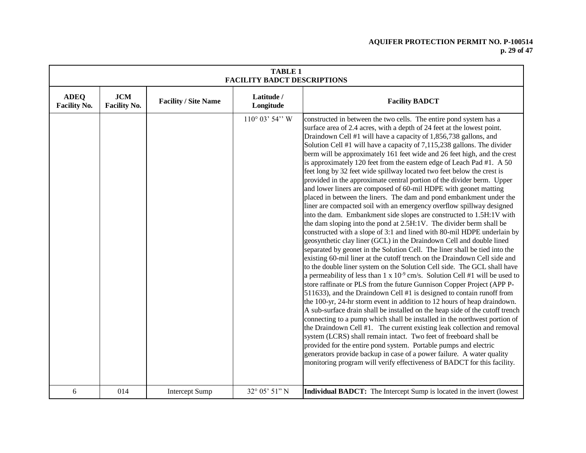# **AQUIFER PROTECTION PERMIT NO. P-100514 p. 29 of 47**

|                                    | <b>TABLE 1</b><br><b>FACILITY BADCT DESCRIPTIONS</b> |                             |                         |                                                                                                                                                                                                                                                                                                                                                                                                                                                                                                                                                                                                                                                                                                                                                                                                                                                                                                                                                                                                                                                                                                                                                                                                                                                                                                                                                                                                                                                                                                                                                                                                                                                                                                                                                                                                                                                                                                                                                                                                                                                                                                                                                                                                                                  |  |  |  |
|------------------------------------|------------------------------------------------------|-----------------------------|-------------------------|----------------------------------------------------------------------------------------------------------------------------------------------------------------------------------------------------------------------------------------------------------------------------------------------------------------------------------------------------------------------------------------------------------------------------------------------------------------------------------------------------------------------------------------------------------------------------------------------------------------------------------------------------------------------------------------------------------------------------------------------------------------------------------------------------------------------------------------------------------------------------------------------------------------------------------------------------------------------------------------------------------------------------------------------------------------------------------------------------------------------------------------------------------------------------------------------------------------------------------------------------------------------------------------------------------------------------------------------------------------------------------------------------------------------------------------------------------------------------------------------------------------------------------------------------------------------------------------------------------------------------------------------------------------------------------------------------------------------------------------------------------------------------------------------------------------------------------------------------------------------------------------------------------------------------------------------------------------------------------------------------------------------------------------------------------------------------------------------------------------------------------------------------------------------------------------------------------------------------------|--|--|--|
| <b>ADEQ</b><br><b>Facility No.</b> | JCM<br><b>Facility No.</b>                           | <b>Facility / Site Name</b> | Latitude /<br>Longitude | <b>Facility BADCT</b>                                                                                                                                                                                                                                                                                                                                                                                                                                                                                                                                                                                                                                                                                                                                                                                                                                                                                                                                                                                                                                                                                                                                                                                                                                                                                                                                                                                                                                                                                                                                                                                                                                                                                                                                                                                                                                                                                                                                                                                                                                                                                                                                                                                                            |  |  |  |
|                                    |                                                      |                             | $110^{\circ}$ 03' 54" W | constructed in between the two cells. The entire pond system has a<br>surface area of 2.4 acres, with a depth of 24 feet at the lowest point.<br>Draindown Cell #1 will have a capacity of 1,856,738 gallons, and<br>Solution Cell #1 will have a capacity of 7,115,238 gallons. The divider<br>berm will be approximately 161 feet wide and 26 feet high, and the crest<br>is approximately 120 feet from the eastern edge of Leach Pad #1. A 50<br>feet long by 32 feet wide spillway located two feet below the crest is<br>provided in the approximate central portion of the divider berm. Upper<br>and lower liners are composed of 60-mil HDPE with geonet matting<br>placed in between the liners. The dam and pond embankment under the<br>liner are compacted soil with an emergency overflow spillway designed<br>into the dam. Embankment side slopes are constructed to 1.5H:1V with<br>the dam sloping into the pond at 2.5H:1V. The divider berm shall be<br>constructed with a slope of 3:1 and lined with 80-mil HDPE underlain by<br>geosynthetic clay liner (GCL) in the Draindown Cell and double lined<br>separated by geonet in the Solution Cell. The liner shall be tied into the<br>existing 60-mil liner at the cutoff trench on the Draindown Cell side and<br>to the double liner system on the Solution Cell side. The GCL shall have<br>a permeability of less than $1 \times 10^{-9}$ cm/s. Solution Cell #1 will be used to<br>store raffinate or PLS from the future Gunnison Copper Project (APP P-<br>511633), and the Draindown Cell #1 is designed to contain runoff from<br>the 100-yr, 24-hr storm event in addition to 12 hours of heap draindown.<br>A sub-surface drain shall be installed on the heap side of the cutoff trench<br>connecting to a pump which shall be installed in the northwest portion of<br>the Draindown Cell #1. The current existing leak collection and removal<br>system (LCRS) shall remain intact. Two feet of freeboard shall be<br>provided for the entire pond system. Portable pumps and electric<br>generators provide backup in case of a power failure. A water quality<br>monitoring program will verify effectiveness of BADCT for this facility. |  |  |  |
| 6                                  | 014                                                  | <b>Intercept Sump</b>       | 32° 05' 51" N           | Individual BADCT: The Intercept Sump is located in the invert (lowest                                                                                                                                                                                                                                                                                                                                                                                                                                                                                                                                                                                                                                                                                                                                                                                                                                                                                                                                                                                                                                                                                                                                                                                                                                                                                                                                                                                                                                                                                                                                                                                                                                                                                                                                                                                                                                                                                                                                                                                                                                                                                                                                                            |  |  |  |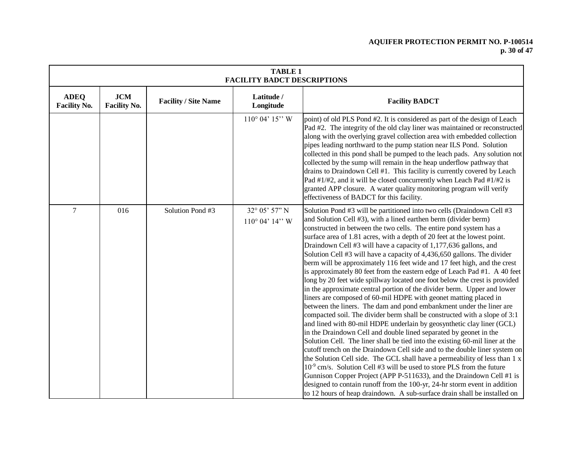# **AQUIFER PROTECTION PERMIT NO. P-100514 p. 30 of 47**

|                                    | <b>TABLE 1</b><br><b>FACILITY BADCT DESCRIPTIONS</b> |                             |                                             |                                                                                                                                                                                                                                                                                                                                                                                                                                                                                                                                                                                                                                                                                                                                                                                                                                                                                                                                                                                                                                                                                                                                                                                                                                                                                                                                                                                                                                                                                                                                                                                                                                                                                               |  |  |  |
|------------------------------------|------------------------------------------------------|-----------------------------|---------------------------------------------|-----------------------------------------------------------------------------------------------------------------------------------------------------------------------------------------------------------------------------------------------------------------------------------------------------------------------------------------------------------------------------------------------------------------------------------------------------------------------------------------------------------------------------------------------------------------------------------------------------------------------------------------------------------------------------------------------------------------------------------------------------------------------------------------------------------------------------------------------------------------------------------------------------------------------------------------------------------------------------------------------------------------------------------------------------------------------------------------------------------------------------------------------------------------------------------------------------------------------------------------------------------------------------------------------------------------------------------------------------------------------------------------------------------------------------------------------------------------------------------------------------------------------------------------------------------------------------------------------------------------------------------------------------------------------------------------------|--|--|--|
| <b>ADEQ</b><br><b>Facility No.</b> | <b>JCM</b><br><b>Facility No.</b>                    | <b>Facility / Site Name</b> | Latitude /<br>Longitude                     | <b>Facility BADCT</b>                                                                                                                                                                                                                                                                                                                                                                                                                                                                                                                                                                                                                                                                                                                                                                                                                                                                                                                                                                                                                                                                                                                                                                                                                                                                                                                                                                                                                                                                                                                                                                                                                                                                         |  |  |  |
|                                    |                                                      |                             | $110^{\circ}$ 04' $15$ " W                  | point) of old PLS Pond #2. It is considered as part of the design of Leach<br>Pad #2. The integrity of the old clay liner was maintained or reconstructed<br>along with the overlying gravel collection area with embedded collection<br>pipes leading northward to the pump station near ILS Pond. Solution<br>collected in this pond shall be pumped to the leach pads. Any solution not<br>collected by the sump will remain in the heap underflow pathway that<br>drains to Draindown Cell #1. This facility is currently covered by Leach<br>Pad #1/#2, and it will be closed concurrently when Leach Pad #1/#2 is<br>granted APP closure. A water quality monitoring program will verify<br>effectiveness of BADCT for this facility.                                                                                                                                                                                                                                                                                                                                                                                                                                                                                                                                                                                                                                                                                                                                                                                                                                                                                                                                                   |  |  |  |
| $\tau$                             | 016                                                  | Solution Pond #3            | 32° 05' 57" N<br>$110^{\circ}$ 04' $14$ " W | Solution Pond #3 will be partitioned into two cells (Draindown Cell #3<br>and Solution Cell #3), with a lined earthen berm (divider berm)<br>constructed in between the two cells. The entire pond system has a<br>surface area of 1.81 acres, with a depth of 20 feet at the lowest point.<br>Draindown Cell #3 will have a capacity of 1,177,636 gallons, and<br>Solution Cell #3 will have a capacity of 4,436,650 gallons. The divider<br>berm will be approximately 116 feet wide and 17 feet high, and the crest<br>is approximately 80 feet from the eastern edge of Leach Pad #1. A 40 feet<br>long by 20 feet wide spillway located one foot below the crest is provided<br>in the approximate central portion of the divider berm. Upper and lower<br>liners are composed of 60-mil HDPE with geonet matting placed in<br>between the liners. The dam and pond embankment under the liner are<br>compacted soil. The divider berm shall be constructed with a slope of 3:1<br>and lined with 80-mil HDPE underlain by geosynthetic clay liner (GCL)<br>in the Draindown Cell and double lined separated by geonet in the<br>Solution Cell. The liner shall be tied into the existing 60-mil liner at the<br>cutoff trench on the Draindown Cell side and to the double liner system on<br>the Solution Cell side. The GCL shall have a permeability of less than 1 x<br>$10^{-9}$ cm/s. Solution Cell #3 will be used to store PLS from the future<br>Gunnison Copper Project (APP P-511633), and the Draindown Cell #1 is<br>designed to contain runoff from the 100-yr, 24-hr storm event in addition<br>to 12 hours of heap draindown. A sub-surface drain shall be installed on |  |  |  |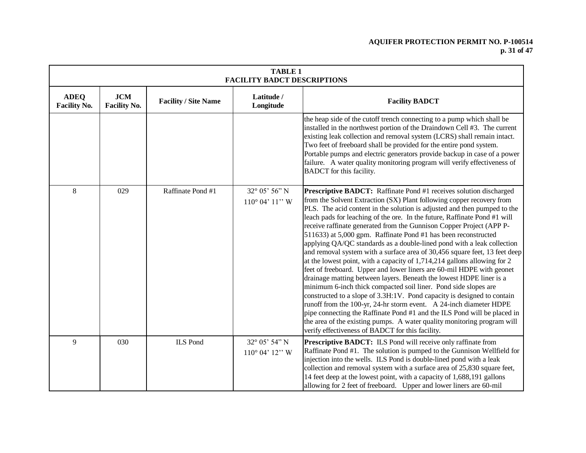# **AQUIFER PROTECTION PERMIT NO. P-100514 p. 31 of 47**

| <b>TABLE 1</b><br><b>FACILITY BADCT DESCRIPTIONS</b> |                                   |                             |                                             |                                                                                                                                                                                                                                                                                                                                                                                                                                                                                                                                                                                                                                                                                                                                                                                                                                                                                                                                                                                                                                                                                                                                                                                                                                                                   |  |  |
|------------------------------------------------------|-----------------------------------|-----------------------------|---------------------------------------------|-------------------------------------------------------------------------------------------------------------------------------------------------------------------------------------------------------------------------------------------------------------------------------------------------------------------------------------------------------------------------------------------------------------------------------------------------------------------------------------------------------------------------------------------------------------------------------------------------------------------------------------------------------------------------------------------------------------------------------------------------------------------------------------------------------------------------------------------------------------------------------------------------------------------------------------------------------------------------------------------------------------------------------------------------------------------------------------------------------------------------------------------------------------------------------------------------------------------------------------------------------------------|--|--|
| <b>ADEQ</b><br><b>Facility No.</b>                   | <b>JCM</b><br><b>Facility No.</b> | <b>Facility / Site Name</b> | Latitude /<br>Longitude                     | <b>Facility BADCT</b>                                                                                                                                                                                                                                                                                                                                                                                                                                                                                                                                                                                                                                                                                                                                                                                                                                                                                                                                                                                                                                                                                                                                                                                                                                             |  |  |
|                                                      |                                   |                             |                                             | the heap side of the cutoff trench connecting to a pump which shall be<br>installed in the northwest portion of the Draindown Cell #3. The current<br>existing leak collection and removal system (LCRS) shall remain intact.<br>Two feet of freeboard shall be provided for the entire pond system.<br>Portable pumps and electric generators provide backup in case of a power<br>failure. A water quality monitoring program will verify effectiveness of<br>BADCT for this facility.                                                                                                                                                                                                                                                                                                                                                                                                                                                                                                                                                                                                                                                                                                                                                                          |  |  |
| $\,8\,$                                              | 029                               | Raffinate Pond #1           | 32° 05' 56" N<br>$110^{\circ}$ 04' $11$ " W | Prescriptive BADCT: Raffinate Pond #1 receives solution discharged<br>from the Solvent Extraction (SX) Plant following copper recovery from<br>PLS. The acid content in the solution is adjusted and then pumped to the<br>leach pads for leaching of the ore. In the future, Raffinate Pond #1 will<br>receive raffinate generated from the Gunnison Copper Project (APP P-<br>511633) at 5,000 gpm. Raffinate Pond #1 has been reconstructed<br>applying QA/QC standards as a double-lined pond with a leak collection<br>and removal system with a surface area of 30,456 square feet, 13 feet deep<br>at the lowest point, with a capacity of 1,714,214 gallons allowing for 2<br>feet of freeboard. Upper and lower liners are 60-mil HDPE with geonet<br>drainage matting between layers. Beneath the lowest HDPE liner is a<br>minimum 6-inch thick compacted soil liner. Pond side slopes are<br>constructed to a slope of 3.3H:1V. Pond capacity is designed to contain<br>runoff from the 100-yr, 24-hr storm event. A 24-inch diameter HDPE<br>pipe connecting the Raffinate Pond #1 and the ILS Pond will be placed in<br>the area of the existing pumps. A water quality monitoring program will<br>verify effectiveness of BADCT for this facility. |  |  |
| 9                                                    | 030                               | <b>ILS</b> Pond             | 32° 05' 54" N<br>$110^{\circ}$ 04' $12$ " W | Prescriptive BADCT: ILS Pond will receive only raffinate from<br>Raffinate Pond #1. The solution is pumped to the Gunnison Wellfield for<br>injection into the wells. ILS Pond is double-lined pond with a leak<br>collection and removal system with a surface area of 25,830 square feet,<br>14 feet deep at the lowest point, with a capacity of 1,688,191 gallons<br>allowing for 2 feet of freeboard. Upper and lower liners are 60-mil                                                                                                                                                                                                                                                                                                                                                                                                                                                                                                                                                                                                                                                                                                                                                                                                                      |  |  |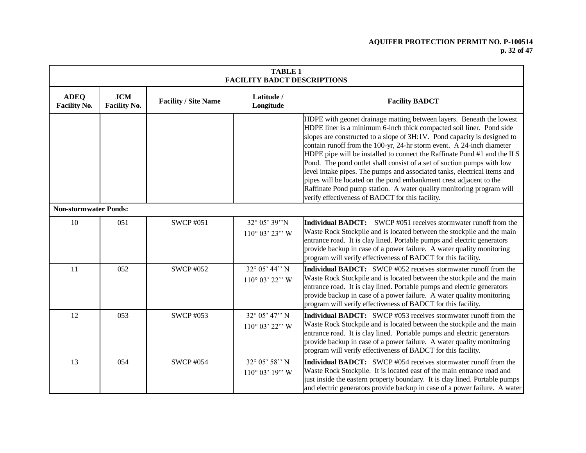# **AQUIFER PROTECTION PERMIT NO. P-100514 p. 32 of 47**

|                                    | <b>TABLE 1</b><br><b>FACILITY BADCT DESCRIPTIONS</b> |                             |                                                       |                                                                                                                                                                                                                                                                                                                                                                                                                                                                                                                                                                                                                                                                                                                                       |  |  |  |
|------------------------------------|------------------------------------------------------|-----------------------------|-------------------------------------------------------|---------------------------------------------------------------------------------------------------------------------------------------------------------------------------------------------------------------------------------------------------------------------------------------------------------------------------------------------------------------------------------------------------------------------------------------------------------------------------------------------------------------------------------------------------------------------------------------------------------------------------------------------------------------------------------------------------------------------------------------|--|--|--|
| <b>ADEQ</b><br><b>Facility No.</b> | <b>JCM</b><br><b>Facility No.</b>                    | <b>Facility / Site Name</b> | Latitude /<br>Longitude                               | <b>Facility BADCT</b>                                                                                                                                                                                                                                                                                                                                                                                                                                                                                                                                                                                                                                                                                                                 |  |  |  |
|                                    |                                                      |                             |                                                       | HDPE with geonet drainage matting between layers. Beneath the lowest<br>HDPE liner is a minimum 6-inch thick compacted soil liner. Pond side<br>slopes are constructed to a slope of 3H:1V. Pond capacity is designed to<br>contain runoff from the 100-yr, 24-hr storm event. A 24-inch diameter<br>HDPE pipe will be installed to connect the Raffinate Pond #1 and the ILS<br>Pond. The pond outlet shall consist of a set of suction pumps with low<br>level intake pipes. The pumps and associated tanks, electrical items and<br>pipes will be located on the pond embankment crest adjacent to the<br>Raffinate Pond pump station. A water quality monitoring program will<br>verify effectiveness of BADCT for this facility. |  |  |  |
| <b>Non-stormwater Ponds:</b>       |                                                      |                             |                                                       |                                                                                                                                                                                                                                                                                                                                                                                                                                                                                                                                                                                                                                                                                                                                       |  |  |  |
| 10                                 | 051                                                  | <b>SWCP #051</b>            | 32° 05' 39"N<br>$110^{\circ}$ 03' 23" W               | <b>Individual BADCT:</b> SWCP #051 receives stormwater runoff from the<br>Waste Rock Stockpile and is located between the stockpile and the main<br>entrance road. It is clay lined. Portable pumps and electric generators<br>provide backup in case of a power failure. A water quality monitoring<br>program will verify effectiveness of BADCT for this facility.                                                                                                                                                                                                                                                                                                                                                                 |  |  |  |
| 11                                 | 052                                                  | <b>SWCP #052</b>            | $32^{\circ}$ 05' 44" N<br>$110^{\circ}$ 03' 22" W     | <b>Individual BADCT:</b> SWCP #052 receives stormwater runoff from the<br>Waste Rock Stockpile and is located between the stockpile and the main<br>entrance road. It is clay lined. Portable pumps and electric generators<br>provide backup in case of a power failure. A water quality monitoring<br>program will verify effectiveness of BADCT for this facility.                                                                                                                                                                                                                                                                                                                                                                 |  |  |  |
| 12                                 | 053                                                  | <b>SWCP #053</b>            | 32° 05' 47" N<br>$110^{\circ}$ 03' 22" W              | <b>Individual BADCT:</b> SWCP #053 receives stormwater runoff from the<br>Waste Rock Stockpile and is located between the stockpile and the main<br>entrance road. It is clay lined. Portable pumps and electric generators<br>provide backup in case of a power failure. A water quality monitoring<br>program will verify effectiveness of BADCT for this facility.                                                                                                                                                                                                                                                                                                                                                                 |  |  |  |
| 13                                 | 054                                                  | <b>SWCP #054</b>            | $32^{\circ} 05' 58'' N$<br>$110^{\circ}$ 03' $19$ " W | <b>Individual BADCT:</b> SWCP #054 receives stormwater runoff from the<br>Waste Rock Stockpile. It is located east of the main entrance road and<br>just inside the eastern property boundary. It is clay lined. Portable pumps<br>and electric generators provide backup in case of a power failure. A water                                                                                                                                                                                                                                                                                                                                                                                                                         |  |  |  |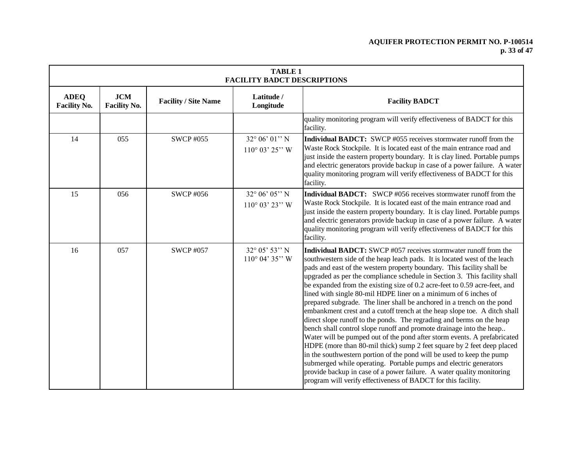# **AQUIFER PROTECTION PERMIT NO. P-100514 p. 33 of 47**

| <b>TABLE 1</b><br><b>FACILITY BADCT DESCRIPTIONS</b> |                                   |                             |                                                    |                                                                                                                                                                                                                                                                                                                                                                                                                                                                                                                                                                                                                                                                                                                                                                                                                                                                                                                                                                                                                                                                                                                                                                                                           |  |  |
|------------------------------------------------------|-----------------------------------|-----------------------------|----------------------------------------------------|-----------------------------------------------------------------------------------------------------------------------------------------------------------------------------------------------------------------------------------------------------------------------------------------------------------------------------------------------------------------------------------------------------------------------------------------------------------------------------------------------------------------------------------------------------------------------------------------------------------------------------------------------------------------------------------------------------------------------------------------------------------------------------------------------------------------------------------------------------------------------------------------------------------------------------------------------------------------------------------------------------------------------------------------------------------------------------------------------------------------------------------------------------------------------------------------------------------|--|--|
| <b>ADEQ</b><br><b>Facility No.</b>                   | <b>JCM</b><br><b>Facility No.</b> | <b>Facility / Site Name</b> | Latitude /<br>Longitude                            | <b>Facility BADCT</b>                                                                                                                                                                                                                                                                                                                                                                                                                                                                                                                                                                                                                                                                                                                                                                                                                                                                                                                                                                                                                                                                                                                                                                                     |  |  |
|                                                      |                                   |                             |                                                    | quality monitoring program will verify effectiveness of BADCT for this<br>facility.                                                                                                                                                                                                                                                                                                                                                                                                                                                                                                                                                                                                                                                                                                                                                                                                                                                                                                                                                                                                                                                                                                                       |  |  |
| 14                                                   | 055                               | <b>SWCP #055</b>            | $32^{\circ} 06' 01'' N$<br>$110^{\circ}$ 03' 25" W | Individual BADCT: SWCP #055 receives stormwater runoff from the<br>Waste Rock Stockpile. It is located east of the main entrance road and<br>just inside the eastern property boundary. It is clay lined. Portable pumps<br>and electric generators provide backup in case of a power failure. A water<br>quality monitoring program will verify effectiveness of BADCT for this<br>facility.                                                                                                                                                                                                                                                                                                                                                                                                                                                                                                                                                                                                                                                                                                                                                                                                             |  |  |
| 15                                                   | 056                               | <b>SWCP #056</b>            | $32^{\circ} 06' 05'' N$<br>$110^{\circ}$ 03' 23" W | Individual BADCT: SWCP #056 receives stormwater runoff from the<br>Waste Rock Stockpile. It is located east of the main entrance road and<br>just inside the eastern property boundary. It is clay lined. Portable pumps<br>and electric generators provide backup in case of a power failure. A water<br>quality monitoring program will verify effectiveness of BADCT for this<br>facility.                                                                                                                                                                                                                                                                                                                                                                                                                                                                                                                                                                                                                                                                                                                                                                                                             |  |  |
| 16                                                   | 057                               | <b>SWCP #057</b>            | 32° 05' 53" N<br>$110^{\circ}$ 04' 35" W           | Individual BADCT: SWCP #057 receives stormwater runoff from the<br>southwestern side of the heap leach pads. It is located west of the leach<br>pads and east of the western property boundary. This facility shall be<br>upgraded as per the compliance schedule in Section 3. This facility shall<br>be expanded from the existing size of 0.2 acre-feet to 0.59 acre-feet, and<br>lined with single 80-mil HDPE liner on a minimum of 6 inches of<br>prepared subgrade. The liner shall be anchored in a trench on the pond<br>embankment crest and a cutoff trench at the heap slope toe. A ditch shall<br>direct slope runoff to the ponds. The regrading and berms on the heap<br>bench shall control slope runoff and promote drainage into the heap<br>Water will be pumped out of the pond after storm events. A prefabricated<br>HDPE (more than 80-mil thick) sump 2 feet square by 2 feet deep placed<br>in the southwestern portion of the pond will be used to keep the pump<br>submerged while operating. Portable pumps and electric generators<br>provide backup in case of a power failure. A water quality monitoring<br>program will verify effectiveness of BADCT for this facility. |  |  |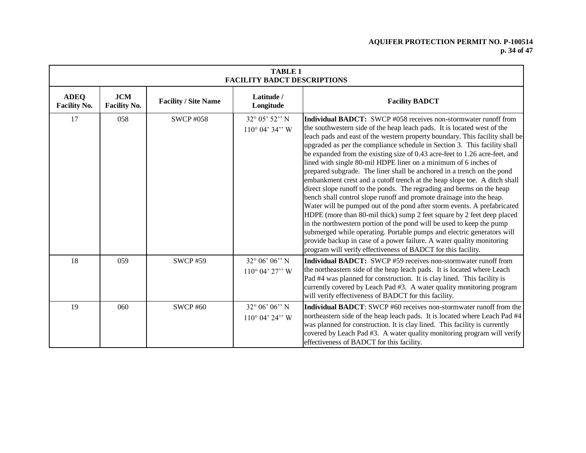# **AQUIFER PROTECTION PERMIT NO. P-100514 p. 34 of 47**

|                                    | <b>TABLE 1</b><br><b>FACILITY BADCT DESCRIPTIONS</b> |                             |                                                       |                                                                                                                                                                                                                                                                                                                                                                                                                                                                                                                                                                                                                                                                                                                                                                                                                                                                                                                                                                                                                                                                                                                                                                                                                             |  |  |  |  |
|------------------------------------|------------------------------------------------------|-----------------------------|-------------------------------------------------------|-----------------------------------------------------------------------------------------------------------------------------------------------------------------------------------------------------------------------------------------------------------------------------------------------------------------------------------------------------------------------------------------------------------------------------------------------------------------------------------------------------------------------------------------------------------------------------------------------------------------------------------------------------------------------------------------------------------------------------------------------------------------------------------------------------------------------------------------------------------------------------------------------------------------------------------------------------------------------------------------------------------------------------------------------------------------------------------------------------------------------------------------------------------------------------------------------------------------------------|--|--|--|--|
| <b>ADEQ</b><br><b>Facility No.</b> | <b>JCM</b><br><b>Facility No.</b>                    | <b>Facility / Site Name</b> | Latitude /<br>Longitude                               | <b>Facility BADCT</b>                                                                                                                                                                                                                                                                                                                                                                                                                                                                                                                                                                                                                                                                                                                                                                                                                                                                                                                                                                                                                                                                                                                                                                                                       |  |  |  |  |
| 17                                 | 058                                                  | <b>SWCP #058</b>            | 32° 05' 52" N<br>$110^{\circ}$ 04' 34" W              | <b>Individual BADCT:</b> SWCP #058 receives non-stormwater runoff from<br>the southwestern side of the heap leach pads. It is located west of the<br>leach pads and east of the western property boundary. This facility shall be<br>upgraded as per the compliance schedule in Section 3. This facility shall<br>be expanded from the existing size of 0.43 acre-feet to 1.26 acre-feet, and<br>lined with single 80-mil HDPE liner on a minimum of 6 inches of<br>prepared subgrade. The liner shall be anchored in a trench on the pond<br>embankment crest and a cutoff trench at the heap slope toe. A ditch shall<br>direct slope runoff to the ponds. The regrading and berms on the heap<br>bench shall control slope runoff and promote drainage into the heap.<br>Water will be pumped out of the pond after storm events. A prefabricated<br>HDPE (more than 80-mil thick) sump 2 feet square by 2 feet deep placed<br>in the northwestern portion of the pond will be used to keep the pump<br>submerged while operating. Portable pumps and electric generators will<br>provide backup in case of a power failure. A water quality monitoring<br>program will verify effectiveness of BADCT for this facility. |  |  |  |  |
| 18                                 | 059                                                  | <b>SWCP #59</b>             | $32^{\circ} 06' 06'' N$<br>$110^{\circ}$ 04' $27$ " W | Individual BADCT: SWCP #59 receives non-stormwater runoff from<br>the northeastern side of the heap leach pads. It is located where Leach<br>Pad #4 was planned for construction. It is clay lined. This facility is<br>currently covered by Leach Pad #3. A water quality monitoring program<br>will verify effectiveness of BADCT for this facility.                                                                                                                                                                                                                                                                                                                                                                                                                                                                                                                                                                                                                                                                                                                                                                                                                                                                      |  |  |  |  |
| 19                                 | 060                                                  | <b>SWCP #60</b>             | $32^{\circ} 06' 06'' N$<br>$110^{\circ}$ 04' 24" W    | <b>Individual BADCT</b> : SWCP #60 receives non-stormwater runoff from the<br>northeastern side of the heap leach pads. It is located where Leach Pad #4<br>was planned for construction. It is clay lined. This facility is currently<br>covered by Leach Pad #3. A water quality monitoring program will verify<br>effectiveness of BADCT for this facility.                                                                                                                                                                                                                                                                                                                                                                                                                                                                                                                                                                                                                                                                                                                                                                                                                                                              |  |  |  |  |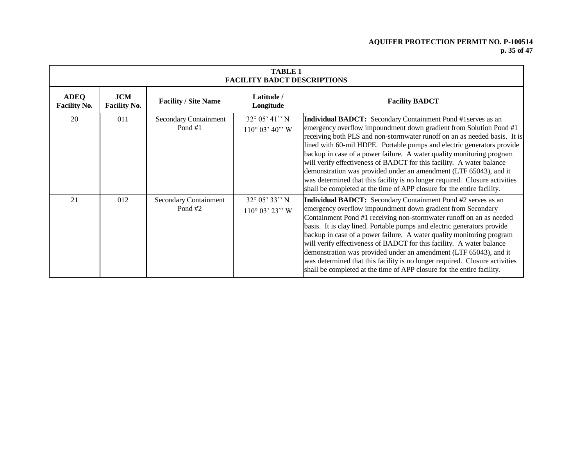# **AQUIFER PROTECTION PERMIT NO. P-100514 p. 35 of 47**

| <b>TABLE 1</b><br><b>FACILITY BADCT DESCRIPTIONS</b> |                                   |                                    |                                                    |                                                                                                                                                                                                                                                                                                                                                                                                                                                                                                                                                                                                                                                                                  |  |  |
|------------------------------------------------------|-----------------------------------|------------------------------------|----------------------------------------------------|----------------------------------------------------------------------------------------------------------------------------------------------------------------------------------------------------------------------------------------------------------------------------------------------------------------------------------------------------------------------------------------------------------------------------------------------------------------------------------------------------------------------------------------------------------------------------------------------------------------------------------------------------------------------------------|--|--|
| <b>ADEQ</b><br><b>Facility No.</b>                   | <b>JCM</b><br><b>Facility No.</b> | <b>Facility / Site Name</b>        | Latitude /<br>Longitude                            | <b>Facility BADCT</b>                                                                                                                                                                                                                                                                                                                                                                                                                                                                                                                                                                                                                                                            |  |  |
| 20                                                   | 011                               | Secondary Containment<br>Pond $#1$ | $32^{\circ}$ 05' 41" N<br>$110^{\circ}$ 03' 40" W  | <b>Individual BADCT:</b> Secondary Containment Pond #1 serves as an<br>emergency overflow impoundment down gradient from Solution Pond #1<br>receiving both PLS and non-stormwater runoff on an as needed basis. It is<br>lined with 60-mil HDPE. Portable pumps and electric generators provide<br>backup in case of a power failure. A water quality monitoring program<br>will verify effectiveness of BADCT for this facility. A water balance<br>demonstration was provided under an amendment (LTF 65043), and it<br>was determined that this facility is no longer required. Closure activities<br>shall be completed at the time of APP closure for the entire facility. |  |  |
| 21                                                   | 012                               | Secondary Containment<br>Pond#2    | $32^{\circ} 05' 33'' N$<br>$110^{\circ}$ 03' 23" W | Individual BADCT: Secondary Containment Pond #2 serves as an<br>emergency overflow impoundment down gradient from Secondary<br>Containment Pond #1 receiving non-stormwater runoff on an as needed<br>basis. It is clay lined. Portable pumps and electric generators provide<br>backup in case of a power failure. A water quality monitoring program<br>will verify effectiveness of BADCT for this facility. A water balance<br>demonstration was provided under an amendment (LTF 65043), and it<br>was determined that this facility is no longer required. Closure activities<br>shall be completed at the time of APP closure for the entire facility.                    |  |  |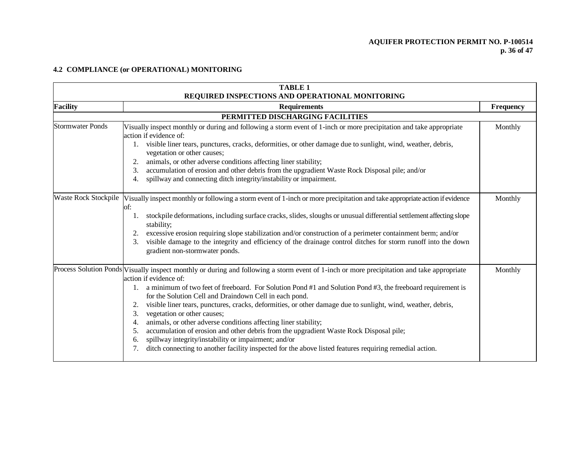# **AQUIFER PROTECTION PERMIT NO. P-100514 p. 36 of 47**

# **4.2 COMPLIANCE (or OPERATIONAL) MONITORING**

| <b>TABLE 1</b><br>REQUIRED INSPECTIONS AND OPERATIONAL MONITORING |                                                                                                                                                                                                                                                                                                                                                                                                                                                                                                                                                                                                                                                                                                                                                                                                                                                                  |           |  |  |  |  |  |
|-------------------------------------------------------------------|------------------------------------------------------------------------------------------------------------------------------------------------------------------------------------------------------------------------------------------------------------------------------------------------------------------------------------------------------------------------------------------------------------------------------------------------------------------------------------------------------------------------------------------------------------------------------------------------------------------------------------------------------------------------------------------------------------------------------------------------------------------------------------------------------------------------------------------------------------------|-----------|--|--|--|--|--|
| <b>Facility</b>                                                   | <b>Requirements</b>                                                                                                                                                                                                                                                                                                                                                                                                                                                                                                                                                                                                                                                                                                                                                                                                                                              | Frequency |  |  |  |  |  |
|                                                                   | PERMITTED DISCHARGING FACILITIES                                                                                                                                                                                                                                                                                                                                                                                                                                                                                                                                                                                                                                                                                                                                                                                                                                 |           |  |  |  |  |  |
| <b>Stormwater Ponds</b>                                           | Visually inspect monthly or during and following a storm event of 1-inch or more precipitation and take appropriate<br>action if evidence of:<br>visible liner tears, punctures, cracks, deformities, or other damage due to sunlight, wind, weather, debris,<br>vegetation or other causes;<br>animals, or other adverse conditions affecting liner stability;<br>2.<br>accumulation of erosion and other debris from the upgradient Waste Rock Disposal pile; and/or<br>spillway and connecting ditch integrity/instability or impairment.<br>4.                                                                                                                                                                                                                                                                                                               | Monthly   |  |  |  |  |  |
|                                                                   | Waste Rock Stockpile Visually inspect monthly or following a storm event of 1-inch or more precipitation and take appropriate action if evidence<br>of:<br>stockpile deformations, including surface cracks, slides, sloughs or unusual differential settlement affecting slope<br>stability;<br>excessive erosion requiring slope stabilization and/or construction of a perimeter containment berm; and/or<br>visible damage to the integrity and efficiency of the drainage control ditches for storm runoff into the down<br>3.<br>gradient non-stormwater ponds.                                                                                                                                                                                                                                                                                            | Monthly   |  |  |  |  |  |
|                                                                   | Process Solution Ponds Visually inspect monthly or during and following a storm event of 1-inch or more precipitation and take appropriate<br>action if evidence of:<br>a minimum of two feet of freeboard. For Solution Pond #1 and Solution Pond #3, the freeboard requirement is<br>1.<br>for the Solution Cell and Draindown Cell in each pond.<br>visible liner tears, punctures, cracks, deformities, or other damage due to sunlight, wind, weather, debris,<br>2.<br>vegetation or other causes;<br>3.<br>animals, or other adverse conditions affecting liner stability;<br>4.<br>accumulation of erosion and other debris from the upgradient Waste Rock Disposal pile;<br>5.<br>spillway integrity/instability or impairment; and/or<br>6.<br>ditch connecting to another facility inspected for the above listed features requiring remedial action. | Monthly   |  |  |  |  |  |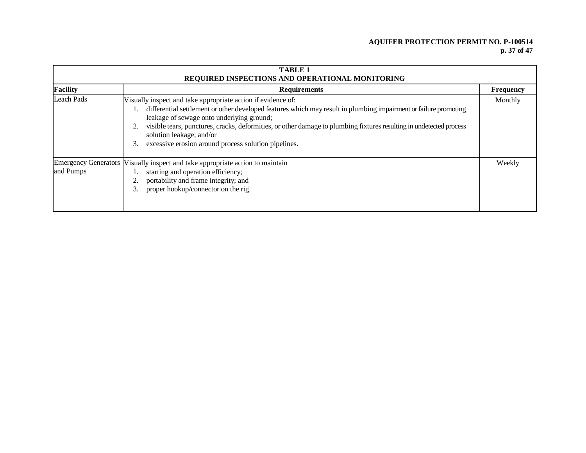# **AQUIFER PROTECTION PERMIT NO. P-100514 p. 37 of 47**

|            | <b>TABLE 1</b><br>REQUIRED INSPECTIONS AND OPERATIONAL MONITORING                                                                                                                                                                                                                                                                                                                                                                              |                  |  |  |  |  |
|------------|------------------------------------------------------------------------------------------------------------------------------------------------------------------------------------------------------------------------------------------------------------------------------------------------------------------------------------------------------------------------------------------------------------------------------------------------|------------------|--|--|--|--|
| Facility   | <b>Requirements</b>                                                                                                                                                                                                                                                                                                                                                                                                                            | <b>Frequency</b> |  |  |  |  |
| Leach Pads | Visually inspect and take appropriate action if evidence of:<br>differential settlement or other developed features which may result in plumbing impairment or failure promoting<br>leakage of sewage onto underlying ground;<br>visible tears, punctures, cracks, deformities, or other damage to plumbing fixtures resulting in undetected process<br>solution leakage; and/or<br>excessive erosion around process solution pipelines.<br>3. | Monthly          |  |  |  |  |
| and Pumps  | Emergency Generators  Visually inspect and take appropriate action to maintain<br>starting and operation efficiency;<br>portability and frame integrity; and<br>proper hookup/connector on the rig.                                                                                                                                                                                                                                            | Weekly           |  |  |  |  |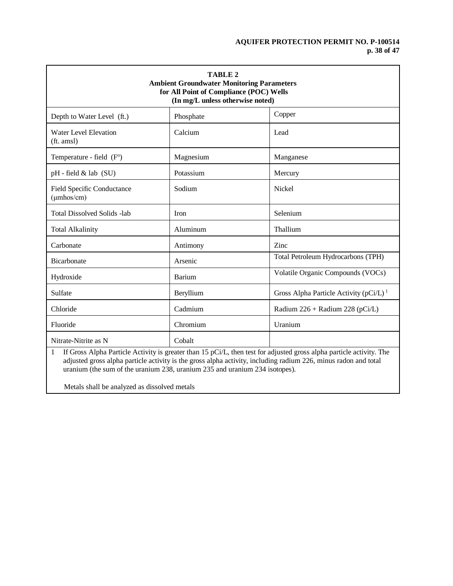# **AQUIFER PROTECTION PERMIT NO. P-100514 p. 38 of 47**

| <b>TABLE 2</b><br><b>Ambient Groundwater Monitoring Parameters</b><br>for All Point of Compliance (POC) Wells<br>(In mg/L unless otherwise noted) |               |                                                                                                                      |  |  |  |
|---------------------------------------------------------------------------------------------------------------------------------------------------|---------------|----------------------------------------------------------------------------------------------------------------------|--|--|--|
| Depth to Water Level (ft.)                                                                                                                        | Phosphate     | Copper                                                                                                               |  |  |  |
| <b>Water Level Elevation</b><br>(ft. amsl)                                                                                                        | Calcium       | Lead                                                                                                                 |  |  |  |
| Temperature - field (F°)                                                                                                                          | Magnesium     | Manganese                                                                                                            |  |  |  |
| $pH$ - field $&$ lab (SU)                                                                                                                         | Potassium     | Mercury                                                                                                              |  |  |  |
| <b>Field Specific Conductance</b><br>$(\mu m \text{hos/cm})$                                                                                      | Sodium        | <b>Nickel</b>                                                                                                        |  |  |  |
| <b>Total Dissolved Solids -lab</b>                                                                                                                | <b>Iron</b>   | Selenium                                                                                                             |  |  |  |
| <b>Total Alkalinity</b>                                                                                                                           | Aluminum      | Thallium                                                                                                             |  |  |  |
| Carbonate                                                                                                                                         | Antimony      | Zinc                                                                                                                 |  |  |  |
| Bicarbonate                                                                                                                                       | Arsenic       | Total Petroleum Hydrocarbons (TPH)                                                                                   |  |  |  |
| Hydroxide                                                                                                                                         | <b>Barium</b> | Volatile Organic Compounds (VOCs)                                                                                    |  |  |  |
| Sulfate                                                                                                                                           | Beryllium     | Gross Alpha Particle Activity (pCi/L) <sup>1</sup>                                                                   |  |  |  |
| Chloride                                                                                                                                          | Cadmium       | Radium $226 +$ Radium $228$ (pCi/L)                                                                                  |  |  |  |
| Fluoride                                                                                                                                          | Chromium      | Uranium                                                                                                              |  |  |  |
| Nitrate-Nitrite as N<br>$\mathbf{1}$                                                                                                              | Cobalt        | If Gross Alpha Particle Activity is greater than 15 $pC_1$ then test for adjusted gross alpha particle activity. The |  |  |  |

1 If Gross Alpha Particle Activity is greater than 15 pCi/L, then test for adjusted gross alpha particle activity. The adjusted gross alpha particle activity is the gross alpha activity, including radium 226, minus radon and total uranium (the sum of the uranium 238, uranium 235 and uranium 234 isotopes).

Metals shall be analyzed as dissolved metals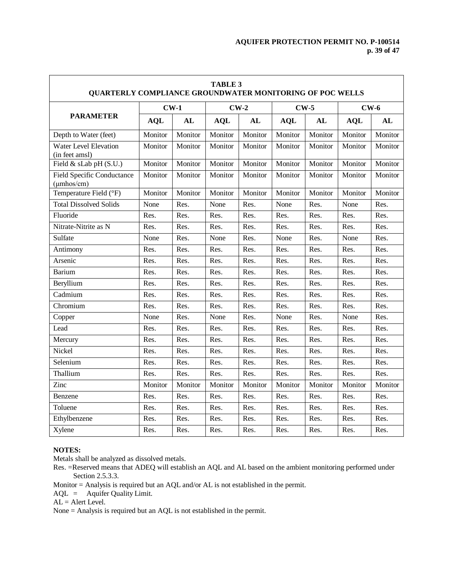| <b>TABLE 3</b><br><b>QUARTERLY COMPLIANCE GROUNDWATER MONITORING OF POC WELLS</b> |            |         |            |         |            |         |            |         |
|-----------------------------------------------------------------------------------|------------|---------|------------|---------|------------|---------|------------|---------|
|                                                                                   | $CW-1$     |         | $CW-2$     |         | $CW-5$     |         | $CW-6$     |         |
| <b>PARAMETER</b>                                                                  | <b>AQL</b> | AL      | <b>AQL</b> | AL      | <b>AQL</b> | AL      | <b>AQL</b> | AL      |
| Depth to Water (feet)                                                             | Monitor    | Monitor | Monitor    | Monitor | Monitor    | Monitor | Monitor    | Monitor |
| <b>Water Level Elevation</b><br>(in feet amsl)                                    | Monitor    | Monitor | Monitor    | Monitor | Monitor    | Monitor | Monitor    | Monitor |
| Field & sLab pH (S.U.)                                                            | Monitor    | Monitor | Monitor    | Monitor | Monitor    | Monitor | Monitor    | Monitor |
| <b>Field Specific Conductance</b><br>$(\mu m \text{hos/cm})$                      | Monitor    | Monitor | Monitor    | Monitor | Monitor    | Monitor | Monitor    | Monitor |
| Temperature Field (°F)                                                            | Monitor    | Monitor | Monitor    | Monitor | Monitor    | Monitor | Monitor    | Monitor |
| <b>Total Dissolved Solids</b>                                                     | None       | Res.    | None       | Res.    | None       | Res.    | None       | Res.    |
| Fluoride                                                                          | Res.       | Res.    | Res.       | Res.    | Res.       | Res.    | Res.       | Res.    |
| Nitrate-Nitrite as N                                                              | Res.       | Res.    | Res.       | Res.    | Res.       | Res.    | Res.       | Res.    |
| Sulfate                                                                           | None       | Res.    | None       | Res.    | None       | Res.    | None       | Res.    |
| Antimony                                                                          | Res.       | Res.    | Res.       | Res.    | Res.       | Res.    | Res.       | Res.    |
| Arsenic                                                                           | Res.       | Res.    | Res.       | Res.    | Res.       | Res.    | Res.       | Res.    |
| <b>Barium</b>                                                                     | Res.       | Res.    | Res.       | Res.    | Res.       | Res.    | Res.       | Res.    |
| Beryllium                                                                         | Res.       | Res.    | Res.       | Res.    | Res.       | Res.    | Res.       | Res.    |
| Cadmium                                                                           | Res.       | Res.    | Res.       | Res.    | Res.       | Res.    | Res.       | Res.    |
| Chromium                                                                          | Res.       | Res.    | Res.       | Res.    | Res.       | Res.    | Res.       | Res.    |
| Copper                                                                            | None       | Res.    | None       | Res.    | None       | Res.    | None       | Res.    |
| Lead                                                                              | Res.       | Res.    | Res.       | Res.    | Res.       | Res.    | Res.       | Res.    |
| Mercury                                                                           | Res.       | Res.    | Res.       | Res.    | Res.       | Res.    | Res.       | Res.    |
| Nickel                                                                            | Res.       | Res.    | Res.       | Res.    | Res.       | Res.    | Res.       | Res.    |
| Selenium                                                                          | Res.       | Res.    | Res.       | Res.    | Res.       | Res.    | Res.       | Res.    |
| Thallium                                                                          | Res.       | Res.    | Res.       | Res.    | Res.       | Res.    | Res.       | Res.    |
| Zinc                                                                              | Monitor    | Monitor | Monitor    | Monitor | Monitor    | Monitor | Monitor    | Monitor |
| Benzene                                                                           | Res.       | Res.    | Res.       | Res.    | Res.       | Res.    | Res.       | Res.    |
| Toluene                                                                           | Res.       | Res.    | Res.       | Res.    | Res.       | Res.    | Res.       | Res.    |
| Ethylbenzene                                                                      | Res.       | Res.    | Res.       | Res.    | Res.       | Res.    | Res.       | Res.    |
| Xylene                                                                            | Res.       | Res.    | Res.       | Res.    | Res.       | Res.    | Res.       | Res.    |

# **NOTES:**

Metals shall be analyzed as dissolved metals.

Res. =Reserved means that ADEQ will establish an AQL and AL based on the ambient monitoring performed under Section 2.5.3.3.

Monitor = Analysis is required but an AQL and/or AL is not established in the permit.

AQL = Aquifer Quality Limit.

 $AL =$  Alert Level.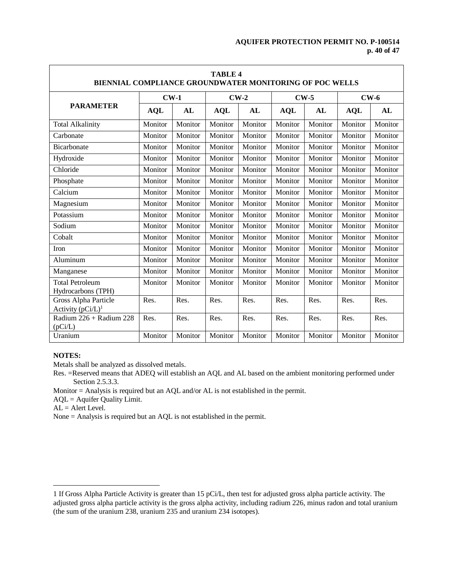$\overline{\phantom{a}}$ 

| <b>TABLE 4</b><br><b>BIENNIAL COMPLIANCE GROUNDWATER MONITORING OF POC WELLS</b> |            |           |            |           |            |         |            |         |  |
|----------------------------------------------------------------------------------|------------|-----------|------------|-----------|------------|---------|------------|---------|--|
|                                                                                  | $CW-1$     |           | $CW-2$     |           | $CW-5$     |         | $CW-6$     |         |  |
| <b>PARAMETER</b>                                                                 | <b>AQL</b> | <b>AL</b> | <b>AQL</b> | <b>AL</b> | <b>AQL</b> | AL      | <b>AQL</b> | AL      |  |
| <b>Total Alkalinity</b>                                                          | Monitor    | Monitor   | Monitor    | Monitor   | Monitor    | Monitor | Monitor    | Monitor |  |
| Carbonate                                                                        | Monitor    | Monitor   | Monitor    | Monitor   | Monitor    | Monitor | Monitor    | Monitor |  |
| Bicarbonate                                                                      | Monitor    | Monitor   | Monitor    | Monitor   | Monitor    | Monitor | Monitor    | Monitor |  |
| Hydroxide                                                                        | Monitor    | Monitor   | Monitor    | Monitor   | Monitor    | Monitor | Monitor    | Monitor |  |
| Chloride                                                                         | Monitor    | Monitor   | Monitor    | Monitor   | Monitor    | Monitor | Monitor    | Monitor |  |
| Phosphate                                                                        | Monitor    | Monitor   | Monitor    | Monitor   | Monitor    | Monitor | Monitor    | Monitor |  |
| Calcium                                                                          | Monitor    | Monitor   | Monitor    | Monitor   | Monitor    | Monitor | Monitor    | Monitor |  |
| Magnesium                                                                        | Monitor    | Monitor   | Monitor    | Monitor   | Monitor    | Monitor | Monitor    | Monitor |  |
| Potassium                                                                        | Monitor    | Monitor   | Monitor    | Monitor   | Monitor    | Monitor | Monitor    | Monitor |  |
| Sodium                                                                           | Monitor    | Monitor   | Monitor    | Monitor   | Monitor    | Monitor | Monitor    | Monitor |  |
| Cobalt                                                                           | Monitor    | Monitor   | Monitor    | Monitor   | Monitor    | Monitor | Monitor    | Monitor |  |
| Iron                                                                             | Monitor    | Monitor   | Monitor    | Monitor   | Monitor    | Monitor | Monitor    | Monitor |  |
| Aluminum                                                                         | Monitor    | Monitor   | Monitor    | Monitor   | Monitor    | Monitor | Monitor    | Monitor |  |
| Manganese                                                                        | Monitor    | Monitor   | Monitor    | Monitor   | Monitor    | Monitor | Monitor    | Monitor |  |
| <b>Total Petroleum</b><br>Hydrocarbons (TPH)                                     | Monitor    | Monitor   | Monitor    | Monitor   | Monitor    | Monitor | Monitor    | Monitor |  |
| Gross Alpha Particle<br>Activity $(pCi/L)^1$                                     | Res.       | Res.      | Res.       | Res.      | Res.       | Res.    | Res.       | Res.    |  |
| Radium 226 + Radium 228<br>(pCi/L)                                               | Res.       | Res.      | Res.       | Res.      | Res.       | Res.    | Res.       | Res.    |  |
| Uranium                                                                          | Monitor    | Monitor   | Monitor    | Monitor   | Monitor    | Monitor | Monitor    | Monitor |  |

# **NOTES:**

 $\overline{a}$ 

Metals shall be analyzed as dissolved metals.

Res. =Reserved means that ADEQ will establish an AQL and AL based on the ambient monitoring performed under Section 2.5.3.3.

Monitor = Analysis is required but an AQL and/or AL is not established in the permit.

AQL = Aquifer Quality Limit.

 $AL =$  Alert Level.

<sup>1</sup> If Gross Alpha Particle Activity is greater than 15 pCi/L, then test for adjusted gross alpha particle activity. The adjusted gross alpha particle activity is the gross alpha activity, including radium 226, minus radon and total uranium (the sum of the uranium 238, uranium 235 and uranium 234 isotopes).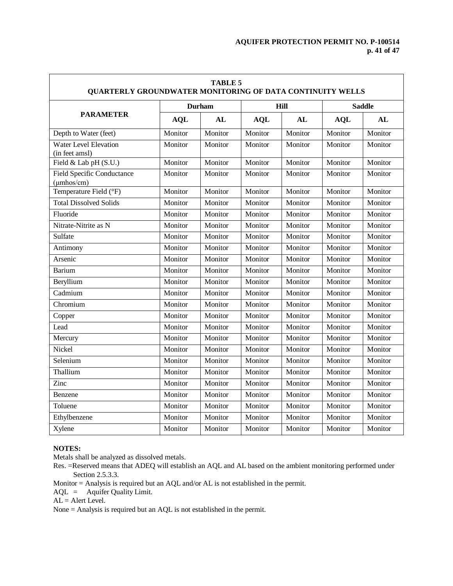$\overline{\mathsf{L}}$ 

| <b>TABLE 5</b><br><b>QUARTERLY GROUNDWATER MONITORING OF DATA CONTINUITY WELLS</b> |            |         |            |         |               |         |  |
|------------------------------------------------------------------------------------|------------|---------|------------|---------|---------------|---------|--|
| <b>PARAMETER</b>                                                                   |            | Durham  |            | Hill    | <b>Saddle</b> |         |  |
|                                                                                    | <b>AQL</b> | AL      | <b>AQL</b> | AL      | <b>AQL</b>    | AL      |  |
| Depth to Water (feet)                                                              | Monitor    | Monitor | Monitor    | Monitor | Monitor       | Monitor |  |
| <b>Water Level Elevation</b><br>(in feet amsl)                                     | Monitor    | Monitor | Monitor    | Monitor | Monitor       | Monitor |  |
| Field & Lab pH (S.U.)                                                              | Monitor    | Monitor | Monitor    | Monitor | Monitor       | Monitor |  |
| <b>Field Specific Conductance</b><br>$(\mu$ mhos/cm $)$                            | Monitor    | Monitor | Monitor    | Monitor | Monitor       | Monitor |  |
| Temperature Field (°F)                                                             | Monitor    | Monitor | Monitor    | Monitor | Monitor       | Monitor |  |
| <b>Total Dissolved Solids</b>                                                      | Monitor    | Monitor | Monitor    | Monitor | Monitor       | Monitor |  |
| Fluoride                                                                           | Monitor    | Monitor | Monitor    | Monitor | Monitor       | Monitor |  |
| Nitrate-Nitrite as N                                                               | Monitor    | Monitor | Monitor    | Monitor | Monitor       | Monitor |  |
| Sulfate                                                                            | Monitor    | Monitor | Monitor    | Monitor | Monitor       | Monitor |  |
| Antimony                                                                           | Monitor    | Monitor | Monitor    | Monitor | Monitor       | Monitor |  |
| Arsenic                                                                            | Monitor    | Monitor | Monitor    | Monitor | Monitor       | Monitor |  |
| <b>Barium</b>                                                                      | Monitor    | Monitor | Monitor    | Monitor | Monitor       | Monitor |  |
| Beryllium                                                                          | Monitor    | Monitor | Monitor    | Monitor | Monitor       | Monitor |  |
| Cadmium                                                                            | Monitor    | Monitor | Monitor    | Monitor | Monitor       | Monitor |  |
| Chromium                                                                           | Monitor    | Monitor | Monitor    | Monitor | Monitor       | Monitor |  |
| Copper                                                                             | Monitor    | Monitor | Monitor    | Monitor | Monitor       | Monitor |  |
| Lead                                                                               | Monitor    | Monitor | Monitor    | Monitor | Monitor       | Monitor |  |
| Mercury                                                                            | Monitor    | Monitor | Monitor    | Monitor | Monitor       | Monitor |  |
| Nickel                                                                             | Monitor    | Monitor | Monitor    | Monitor | Monitor       | Monitor |  |
| Selenium                                                                           | Monitor    | Monitor | Monitor    | Monitor | Monitor       | Monitor |  |
| Thallium                                                                           | Monitor    | Monitor | Monitor    | Monitor | Monitor       | Monitor |  |
| Zinc                                                                               | Monitor    | Monitor | Monitor    | Monitor | Monitor       | Monitor |  |
| Benzene                                                                            | Monitor    | Monitor | Monitor    | Monitor | Monitor       | Monitor |  |
| Toluene                                                                            | Monitor    | Monitor | Monitor    | Monitor | Monitor       | Monitor |  |
| Ethylbenzene                                                                       | Monitor    | Monitor | Monitor    | Monitor | Monitor       | Monitor |  |
| Xylene                                                                             | Monitor    | Monitor | Monitor    | Monitor | Monitor       | Monitor |  |

# **NOTES:**

Г

Metals shall be analyzed as dissolved metals.

- Res. =Reserved means that ADEQ will establish an AQL and AL based on the ambient monitoring performed under Section 2.5.3.3.
- Monitor = Analysis is required but an AQL and/or AL is not established in the permit.

AQL = Aquifer Quality Limit.

AL = Alert Level.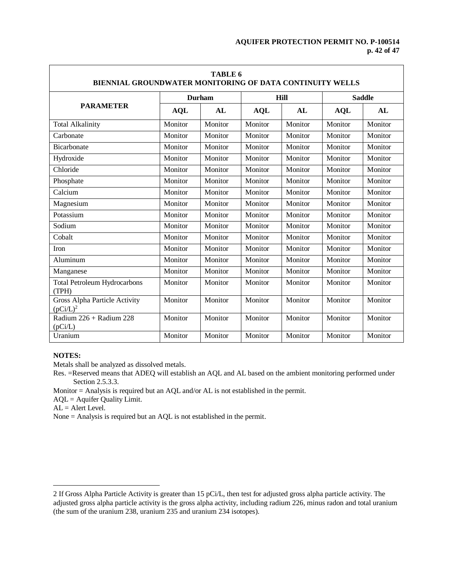┑

| <b>TABLE 6</b><br>BIENNIAL GROUNDWATER MONITORING OF DATA CONTINUITY WELLS |               |         |             |         |               |         |  |
|----------------------------------------------------------------------------|---------------|---------|-------------|---------|---------------|---------|--|
| <b>PARAMETER</b>                                                           | <b>Durham</b> |         | <b>Hill</b> |         | <b>Saddle</b> |         |  |
|                                                                            | <b>AQL</b>    | AL      | <b>AQL</b>  | AL      | <b>AQL</b>    | AL      |  |
| <b>Total Alkalinity</b>                                                    | Monitor       | Monitor | Monitor     | Monitor | Monitor       | Monitor |  |
| Carbonate                                                                  | Monitor       | Monitor | Monitor     | Monitor | Monitor       | Monitor |  |
| Bicarbonate                                                                | Monitor       | Monitor | Monitor     | Monitor | Monitor       | Monitor |  |
| Hydroxide                                                                  | Monitor       | Monitor | Monitor     | Monitor | Monitor       | Monitor |  |
| Chloride                                                                   | Monitor       | Monitor | Monitor     | Monitor | Monitor       | Monitor |  |
| Phosphate                                                                  | Monitor       | Monitor | Monitor     | Monitor | Monitor       | Monitor |  |
| Calcium                                                                    | Monitor       | Monitor | Monitor     | Monitor | Monitor       | Monitor |  |
| Magnesium                                                                  | Monitor       | Monitor | Monitor     | Monitor | Monitor       | Monitor |  |
| Potassium                                                                  | Monitor       | Monitor | Monitor     | Monitor | Monitor       | Monitor |  |
| Sodium                                                                     | Monitor       | Monitor | Monitor     | Monitor | Monitor       | Monitor |  |
| Cobalt                                                                     | Monitor       | Monitor | Monitor     | Monitor | Monitor       | Monitor |  |
| Iron                                                                       | Monitor       | Monitor | Monitor     | Monitor | Monitor       | Monitor |  |
| Aluminum                                                                   | Monitor       | Monitor | Monitor     | Monitor | Monitor       | Monitor |  |
| Manganese                                                                  | Monitor       | Monitor | Monitor     | Monitor | Monitor       | Monitor |  |
| <b>Total Petroleum Hydrocarbons</b><br>(TPH)                               | Monitor       | Monitor | Monitor     | Monitor | Monitor       | Monitor |  |
| Gross Alpha Particle Activity<br>$(pCi/L)^2$                               | Monitor       | Monitor | Monitor     | Monitor | Monitor       | Monitor |  |
| Radium 226 + Radium 228<br>(pCi/L)                                         | Monitor       | Monitor | Monitor     | Monitor | Monitor       | Monitor |  |
| Uranium                                                                    | Monitor       | Monitor | Monitor     | Monitor | Monitor       | Monitor |  |

# **NOTES:**

Л

 $\overline{a}$ 

Metals shall be analyzed as dissolved metals.

Res. =Reserved means that ADEQ will establish an AQL and AL based on the ambient monitoring performed under Section 2.5.3.3.

Monitor = Analysis is required but an AQL and/or AL is not established in the permit.

AQL = Aquifer Quality Limit.

AL = Alert Level.

<sup>2</sup> If Gross Alpha Particle Activity is greater than 15 pCi/L, then test for adjusted gross alpha particle activity. The adjusted gross alpha particle activity is the gross alpha activity, including radium 226, minus radon and total uranium (the sum of the uranium 238, uranium 235 and uranium 234 isotopes).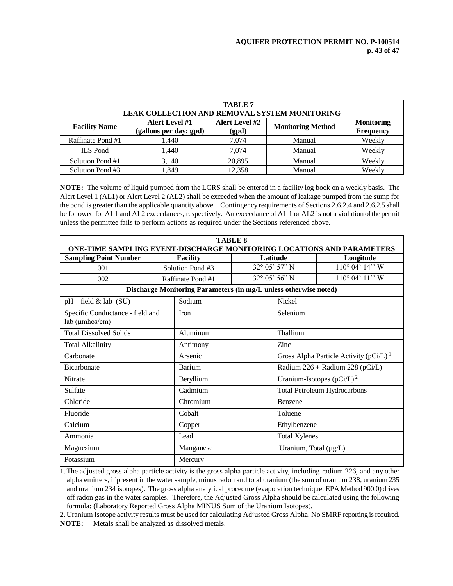| <b>TABLE 7</b><br><b>LEAK COLLECTION AND REMOVAL SYSTEM MONITORING</b> |                                          |                                |                          |                                |  |  |  |
|------------------------------------------------------------------------|------------------------------------------|--------------------------------|--------------------------|--------------------------------|--|--|--|
| <b>Facility Name</b>                                                   | Alert Level #1<br>(gallons per day; gpd) | <b>Alert Level #2</b><br>(gpd) | <b>Monitoring Method</b> | <b>Monitoring</b><br>Frequency |  |  |  |
| Raffinate Pond #1                                                      | 1,440                                    | 7.074                          | Manual                   | Weekly                         |  |  |  |
| <b>ILS</b> Pond                                                        | 1.440                                    | 7.074                          | Manual                   | Weekly                         |  |  |  |
| Solution Pond #1                                                       | 3,140                                    | 20,895                         | Manual                   | Weekly                         |  |  |  |
| Solution Pond #3                                                       | l.849                                    | 12.358                         | Manual                   | Weekly                         |  |  |  |

**NOTE:** The volume of liquid pumped from the LCRS shall be entered in a facility log book on a weekly basis. The Alert Level 1 (AL1) or Alert Level 2 (AL2) shall be exceeded when the amount of leakage pumped from the sump for the pond is greater than the applicable quantity above. Contingency requirements of Sections 2.6.2.4 and 2.6.2.5 shall be followed for AL1 and AL2 exceedances, respectively. An exceedance of AL 1 or AL2 is not a violation of the permit unless the permittee fails to perform actions as required under the Sections referenced above.

| <b>TABLE 8</b><br><b>ONE-TIME SAMPLING EVENT-DISCHARGE MONITORING LOCATIONS AND PARAMETERS</b> |                  |                   |                                       |                                                        |                                     |  |  |
|------------------------------------------------------------------------------------------------|------------------|-------------------|---------------------------------------|--------------------------------------------------------|-------------------------------------|--|--|
| <b>Sampling Point Number</b>                                                                   | <b>Facility</b>  |                   | Latitude                              |                                                        | Longitude                           |  |  |
| 001                                                                                            | Solution Pond #3 |                   | 32° 05' 57" N                         |                                                        | $110^{\circ}$ 04' $14$ " W          |  |  |
| 002                                                                                            |                  | Raffinate Pond #1 | $32^{\circ}$ 05' 56" N                |                                                        | $110^{\circ}$ 04' $11''$ W          |  |  |
| Discharge Monitoring Parameters (in mg/L unless otherwise noted)                               |                  |                   |                                       |                                                        |                                     |  |  |
| $pH$ – field & lab (SU)                                                                        |                  | Sodium            |                                       | <b>Nickel</b>                                          |                                     |  |  |
| Specific Conductance - field and<br>lab (µmhos/cm)                                             |                  | Iron              |                                       | Selenium                                               |                                     |  |  |
| <b>Total Dissolved Solids</b>                                                                  | Aluminum         |                   |                                       | Thallium                                               |                                     |  |  |
| <b>Total Alkalinity</b>                                                                        |                  | Antimony          |                                       | Zinc                                                   |                                     |  |  |
| Carbonate                                                                                      | Arsenic          |                   |                                       | Gross Alpha Particle Activity ( $pCi/L$ ) <sup>1</sup> |                                     |  |  |
| <b>Bicarbonate</b>                                                                             |                  | Barium            |                                       |                                                        | Radium $226 +$ Radium $228$ (pCi/L) |  |  |
| <b>Nitrate</b><br>Beryllium                                                                    |                  |                   | Uranium-Isotopes (pCi/L) <sup>2</sup> |                                                        |                                     |  |  |
| Sulfate                                                                                        |                  | Cadmium           |                                       |                                                        | <b>Total Petroleum Hydrocarbons</b> |  |  |
| Chloride                                                                                       |                  | Chromium          |                                       | Benzene                                                |                                     |  |  |
| Fluoride                                                                                       |                  | Cobalt            |                                       | Toluene                                                |                                     |  |  |
| Calcium                                                                                        |                  | Copper            |                                       | Ethylbenzene                                           |                                     |  |  |
| Ammonia<br>Lead                                                                                |                  |                   |                                       |                                                        | <b>Total Xylenes</b>                |  |  |
| Magnesium<br>Manganese                                                                         |                  |                   | Uranium, Total (µg/L)                 |                                                        |                                     |  |  |
| Potassium                                                                                      |                  | Mercury           |                                       |                                                        |                                     |  |  |

1.The adjusted gross alpha particle activity is the gross alpha particle activity, including radium 226, and any other alpha emitters, if present in the water sample, minus radon and total uranium (the sum of uranium 238, uranium 235 and uranium 234 isotopes). The gross alpha analytical procedure (evaporation technique: EPA Method 900.0) drives off radon gas in the water samples. Therefore, the Adjusted Gross Alpha should be calculated using the following formula: (Laboratory Reported Gross Alpha MINUS Sum of the Uranium Isotopes).

2. Uranium Isotope activity results must be used for calculating Adjusted Gross Alpha. No SMRF reporting is required. **NOTE:** Metals shall be analyzed as dissolved metals.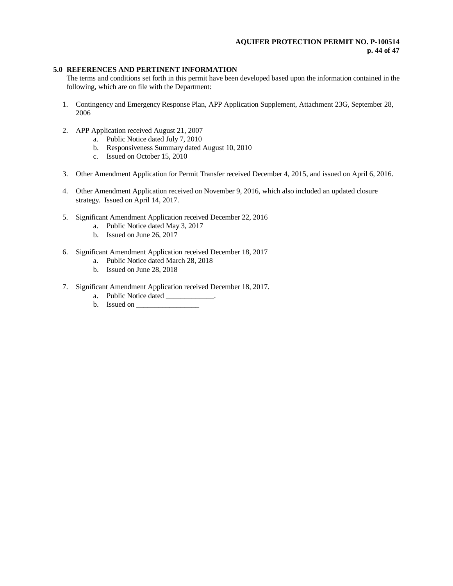# **AQUIFER PROTECTION PERMIT NO. P-100514 p. 44 of 47**

# **5.0 REFERENCES AND PERTINENT INFORMATION**

The terms and conditions set forth in this permit have been developed based upon the information contained in the following, which are on file with the Department:

- 1. Contingency and Emergency Response Plan, APP Application Supplement, Attachment 23G, September 28, 2006
- 2. APP Application received August 21, 2007
	- a. Public Notice dated July 7, 2010
	- b. Responsiveness Summary dated August 10, 2010
	- c. Issued on October 15, 2010
- 3. Other Amendment Application for Permit Transfer received December 4, 2015, and issued on April 6, 2016.
- 4. Other Amendment Application received on November 9, 2016, which also included an updated closure strategy. Issued on April 14, 2017.
- 5. Significant Amendment Application received December 22, 2016
	- a. Public Notice dated May 3, 2017
	- b. Issued on June 26, 2017
- 6. Significant Amendment Application received December 18, 2017
	- a. Public Notice dated March 28, 2018
	- b. Issued on June 28, 2018
- 7. Significant Amendment Application received December 18, 2017.
	- a. Public Notice dated \_\_\_\_\_\_\_\_\_\_\_\_.
	- b. Issued on \_\_\_\_\_\_\_\_\_\_\_\_\_\_\_\_\_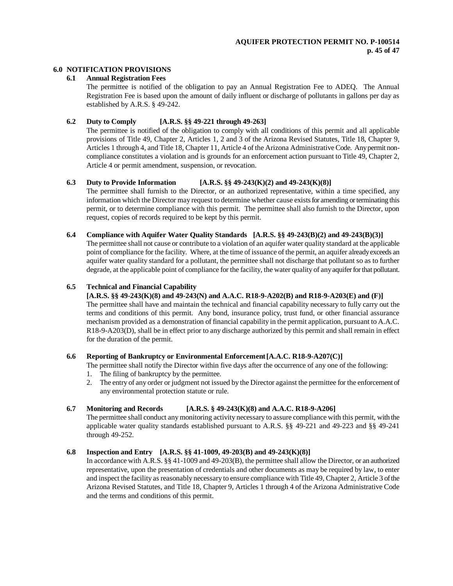# **6.0 NOTIFICATION PROVISIONS**

#### **6.1 Annual Registration Fees**

The permittee is notified of the obligation to pay an Annual Registration Fee to ADEQ. The Annual Registration Fee is based upon the amount of daily influent or discharge of pollutants in gallons per day as established by A.R.S. § 49-242.

### **6.2 Duty to Comply [A.R.S. §§ 49-221 through 49-263]**

The permittee is notified of the obligation to comply with all conditions of this permit and all applicable provisions of Title 49, Chapter 2, Articles 1, 2 and 3 of the Arizona Revised Statutes, Title 18, Chapter 9, Articles 1 through 4, and Title 18, Chapter 11, Article 4 of the Arizona Administrative Code. Any permit noncompliance constitutes a violation and is grounds for an enforcement action pursuant to Title 49, Chapter 2, Article 4 or permit amendment, suspension, or revocation.

# **6.3 Duty to Provide Information [A.R.S. §§ 49-243(K)(2) and 49-243(K)(8)]**

The permittee shall furnish to the Director, or an authorized representative, within a time specified, any information which the Director may request to determine whether cause exists for amending or terminating this permit, or to determine compliance with this permit. The permittee shall also furnish to the Director, upon request, copies of records required to be kept by this permit.

#### **6.4 Compliance with Aquifer Water Quality Standards [A.R.S. §§ 49-243(B)(2) and 49-243(B)(3)]**

The permittee shall not cause or contribute to a violation of an aquifer water quality standard at the applicable point of compliance for the facility. Where, at the time of issuance of the permit, an aquifer already exceeds an aquifer water quality standard for a pollutant, the permittee shall not discharge that pollutant so as to further degrade, at the applicable point of compliance for the facility, the water quality of any aquifer for that pollutant.

#### **6.5 Technical and Financial Capability**

**[A.R.S. §§ 49-243(K)(8) and 49-243(N) and A.A.C. R18-9-A202(B) and R18-9-A203(E) and (F)]**

The permittee shall have and maintain the technical and financial capability necessary to fully carry out the terms and conditions of this permit. Any bond, insurance policy, trust fund, or other financial assurance mechanism provided as a demonstration of financial capability in the permit application, pursuant to A.A.C. R18-9-A203(D), shall be in effect prior to any discharge authorized by this permit and shall remain in effect for the duration of the permit.

# **6.6 Reporting of Bankruptcy or Environmental Enforcement[A.A.C. R18-9-A207(C)]**

The permittee shall notify the Director within five days after the occurrence of any one of the following:

- 1. The filing of bankruptcy by the permittee.
- 2. The entry of any order or judgment not issued by the Director against the permittee for the enforcement of any environmental protection statute or rule.

# **6.7 Monitoring and Records [A.R.S. § 49-243(K)(8) and A.A.C. R18-9-A206]**

The permittee shall conduct any monitoring activity necessary to assure compliance with this permit, with the applicable water quality standards established pursuant to A.R.S. §§ 49-221 and 49-223 and §§ 49-241 through 49-252.

# **6.8 Inspection and Entry [A.R.S. §§ 41-1009, 49-203(B) and 49-243(K)(8)]**

In accordance with A.R.S. §§ 41-1009 and 49-203(B), the permittee shall allow the Director, or an authorized representative, upon the presentation of credentials and other documents as may be required by law, to enter and inspect the facility as reasonably necessary to ensure compliance with Title 49, Chapter 2, Article 3 of the Arizona Revised Statutes, and Title 18, Chapter 9, Articles 1 through 4 of the Arizona Administrative Code and the terms and conditions of this permit.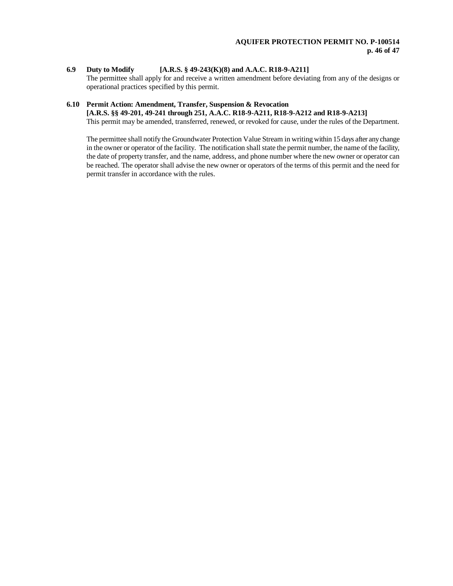# **6.9 Duty to Modify [A.R.S. § 49-243(K)(8) and A.A.C. R18-9-A211]**

The permittee shall apply for and receive a written amendment before deviating from any of the designs or operational practices specified by this permit.

# **6.10 Permit Action: Amendment, Transfer, Suspension & Revocation [A.R.S. §§ 49-201, 49-241 through 251, A.A.C. R18-9-A211, R18-9-A212 and R18-9-A213]**

This permit may be amended, transferred, renewed, or revoked for cause, under the rules of the Department.

The permittee shall notify the Groundwater Protection Value Stream in writing within 15 days after any change in the owner or operator of the facility. The notification shall state the permit number, the name of the facility, the date of property transfer, and the name, address, and phone number where the new owner or operator can be reached. The operator shall advise the new owner or operators of the terms of this permit and the need for permit transfer in accordance with the rules.